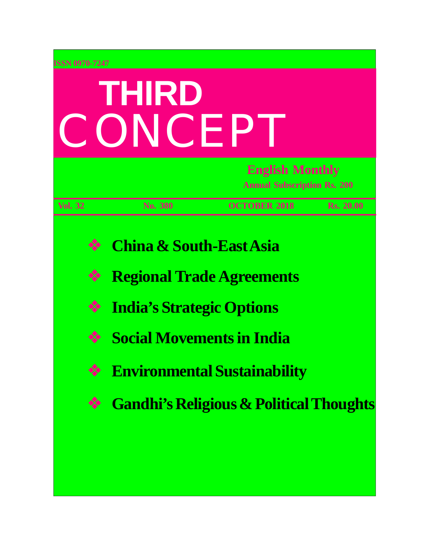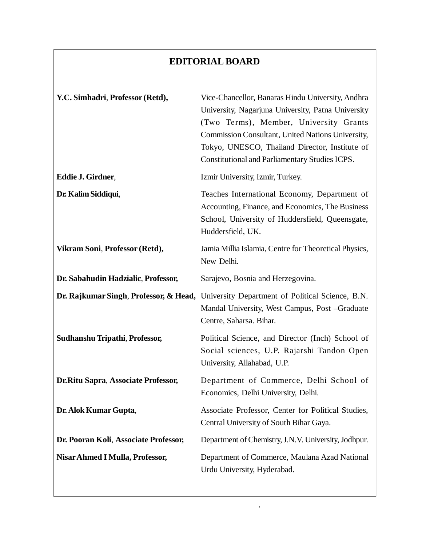### **EDITORIAL BOARD**

| Y.C. Simhadri, Professor (Retd),       | Vice-Chancellor, Banaras Hindu University, Andhra<br>University, Nagarjuna University, Patna University<br>(Two Terms), Member, University Grants<br>Commission Consultant, United Nations University,<br>Tokyo, UNESCO, Thailand Director, Institute of<br><b>Constitutional and Parliamentary Studies ICPS.</b> |
|----------------------------------------|-------------------------------------------------------------------------------------------------------------------------------------------------------------------------------------------------------------------------------------------------------------------------------------------------------------------|
| Eddie J. Girdner,                      | Izmir University, Izmir, Turkey.                                                                                                                                                                                                                                                                                  |
| Dr. Kalim Siddiqui,                    | Teaches International Economy, Department of<br>Accounting, Finance, and Economics, The Business<br>School, University of Huddersfield, Queensgate,<br>Huddersfield, UK.                                                                                                                                          |
| Vikram Soni, Professor (Retd),         | Jamia Millia Islamia, Centre for Theoretical Physics,<br>New Delhi.                                                                                                                                                                                                                                               |
| Dr. Sabahudin Hadzialic, Professor,    | Sarajevo, Bosnia and Herzegovina.                                                                                                                                                                                                                                                                                 |
| Dr. Rajkumar Singh, Professor, & Head, | University Department of Political Science, B.N.<br>Mandal University, West Campus, Post -Graduate<br>Centre, Saharsa. Bihar.                                                                                                                                                                                     |
| Sudhanshu Tripathi, Professor,         | Political Science, and Director (Inch) School of<br>Social sciences, U.P. Rajarshi Tandon Open<br>University, Allahabad, U.P.                                                                                                                                                                                     |
| Dr. Ritu Sapra, Associate Professor,   | Department of Commerce, Delhi School of<br>Economics, Delhi University, Delhi.                                                                                                                                                                                                                                    |
| Dr. Alok Kumar Gupta,                  | Associate Professor, Center for Political Studies,<br>Central University of South Bihar Gaya.                                                                                                                                                                                                                     |
| Dr. Pooran Koli, Associate Professor,  | Department of Chemistry, J.N.V. University, Jodhpur.                                                                                                                                                                                                                                                              |
| Nisar Ahmed I Mulla, Professor,        | Department of Commerce, Maulana Azad National<br>Urdu University, Hyderabad.                                                                                                                                                                                                                                      |

 $2^{\log_{10}}$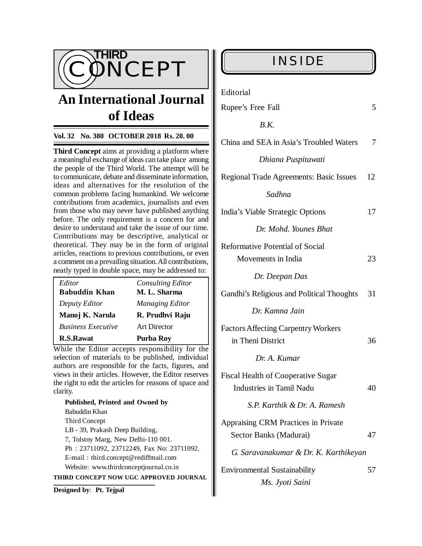

# **An International Journal of Ideas**

#### **Vol. 32 No. 380 OCTOBER 2018 Rs. 20. 00**

**Third Concept** aims at providing a platform where a meaningful exchange of ideas can take place among the people of the Third World. The attempt will be to communicate, debate and disseminate information, ideas and alternatives for the resolution of the common problems facing humankind. We welcome contributions from academics, journalists and even from those who may never have published anything before. The only requirement is a concern for and desire to understand and take the issue of our time. Contributions may be descriptive, analytical or theoretical. They may be in the form of original articles, reactions to previous contributions, or even a comment on a prevailing situation. All contributions, neatly typed in double space, may be addressed to:

| Editor                    | <b>Consulting Editor</b> |
|---------------------------|--------------------------|
| <b>Babuddin Khan</b>      | M. L. Sharma             |
| Deputy Editor             | Managing Editor          |
| Manoj K. Narula           | R. Prudhvi Raju          |
| <b>Business Executive</b> | <b>Art Director</b>      |
| <b>R.S.Rawat</b>          | <b>Purba Roy</b>         |

While the Editor accepts responsibility for the selection of materials to be published, individual authors are responsible for the facts, figures, and views in their articles. However, the Editor reserves the right to edit the articles for reasons of space and clarity.

**Published, Printed and Owned by** Babuddin Khan Third Concept LB - 39, Prakash Deep Building, 7, Tolstoy Marg, New Delhi-110 001. Ph : 23711092, 23712249, Fax No: 23711092. E-mail : [third.concept@rediffmail.com](mailto:third.concept@rediffmail.com) Website: [www.thirdconceptjournal.co.in](http://www.thirdconceptjournal.co.in) **THIRD CONCEPT NOW UGC APPROVED JOURNAL**

**Designed by**: **Pt. Tejpal**

Editorial

| Rupee's Free Fall |  |  |  |
|-------------------|--|--|--|
|-------------------|--|--|--|

 *B.K.*

China and SEA in Asia's Troubled Waters 7

 *Dhiana Puspitawati*

Regional Trade Agreements: Basic Issues 12

 *Sadhna*

India's Viable Strategic Options 17

 *Dr. Mohd. Younes Bhat*

Reformative Potential of Social Movements in India 23

*Dr. Deepan Das*

Gandhi's Religious and Political Thoughts 31

 *Dr. Kamna Jain*

Factors Affecting Carpentry Workers in Theni District 36

 *Dr. A. Kumar*

Fiscal Health of Cooperative Sugar Industries in Tamil Nadu 40

 *S.P. Karthik & Dr. A. Ramesh*

| Appraising CRM Practices in Private   |    |
|---------------------------------------|----|
| Sector Banks (Madurai)                | 47 |
| G. Saravanakumar & Dr. K. Karthikeyan |    |

Environmental Sustainability 57  *Ms. Jyoti Saini*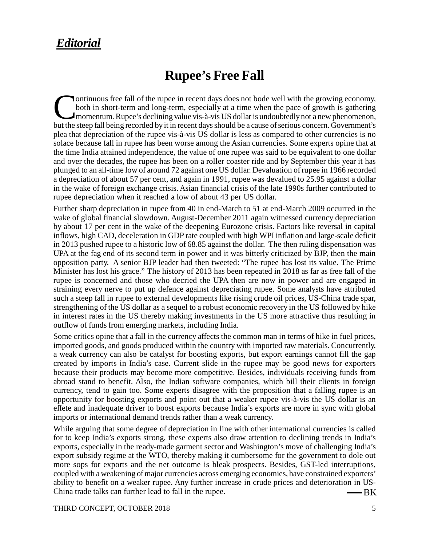## *Editorial*

# **Rupee's Free Fall**

Ontinuous free fall of the rupee in recent days does not bode well with the growing economy, both in short-term and long-term, especially at a time when the pace of growth is gathering momentum. Rupee's declining value vis ontinuous free fall of the rupee in recent days does not bode well with the growing economy, both in short-term and long-term, especially at a time when the pace of growth is gathering momentum. Rupee's declining value vis-à-vis US dollar is undoubtedly not a new phenomenon, plea that depreciation of the rupee vis-à-vis US dollar is less as compared to other currencies is no solace because fall in rupee has been worse among the Asian currencies. Some experts opine that at the time India attained independence, the value of one rupee was said to be equivalent to one dollar and over the decades, the rupee has been on a roller coaster ride and by September this year it has plunged to an all-time low of around 72 against one US dollar. Devaluation of rupee in 1966 recorded a depreciation of about 57 per cent, and again in 1991, rupee was devalued to 25.95 against a dollar in the wake of foreign exchange crisis. Asian financial crisis of the late 1990s further contributed to rupee depreciation when it reached a low of about 43 per US dollar.

Further sharp depreciation in rupee from 40 in end-March to 51 at end-March 2009 occurred in the wake of global financial slowdown. August-December 2011 again witnessed currency depreciation by about 17 per cent in the wake of the deepening Eurozone crisis. Factors like reversal in capital inflows, high CAD, deceleration in GDP rate coupled with high WPI inflation and large-scale deficit in 2013 pushed rupee to a historic low of 68.85 against the dollar. The then ruling dispensation was UPA at the fag end of its second term in power and it was bitterly criticized by BJP, then the main opposition party. A senior BJP leader had then tweeted: "The rupee has lost its value. The Prime Minister has lost his grace." The history of 2013 has been repeated in 2018 as far as free fall of the rupee is concerned and those who decried the UPA then are now in power and are engaged in straining every nerve to put up defence against depreciating rupee. Some analysts have attributed such a steep fall in rupee to external developments like rising crude oil prices, US-China trade spar, strengthening of the US dollar as a sequel to a robust economic recovery in the US followed by hike in interest rates in the US thereby making investments in the US more attractive thus resulting in outflow of funds from emerging markets, including India.

Some critics opine that a fall in the currency affects the common man in terms of hike in fuel prices, imported goods, and goods produced within the country with imported raw materials. Concurrently, a weak currency can also be catalyst for boosting exports, but export earnings cannot fill the gap created by imports in India's case. Current slide in the rupee may be good news for exporters because their products may become more competitive. Besides, individuals receiving funds from abroad stand to benefit. Also, the Indian software companies, which bill their clients in foreign currency, tend to gain too. Some experts disagree with the proposition that a falling rupee is an opportunity for boosting exports and point out that a weaker rupee vis-à-vis the US dollar is an effete and inadequate driver to boost exports because India's exports are more in sync with global imports or international demand trends rather than a weak currency.

-BK While arguing that some degree of depreciation in line with other international currencies is called for to keep India's exports strong, these experts also draw attention to declining trends in India's exports, especially in the ready-made garment sector and Washington's move of challenging India's export subsidy regime at the WTO, thereby making it cumbersome for the government to dole out more sops for exports and the net outcome is bleak prospects. Besides, GST-led interruptions, coupled with a weakening of major currencies across emerging economies, have constrained exporters' ability to benefit on a weaker rupee. Any further increase in crude prices and deterioration in US-China trade talks can further lead to fall in the rupee.

THIRD CONCEPT, OCTOBER 2018 5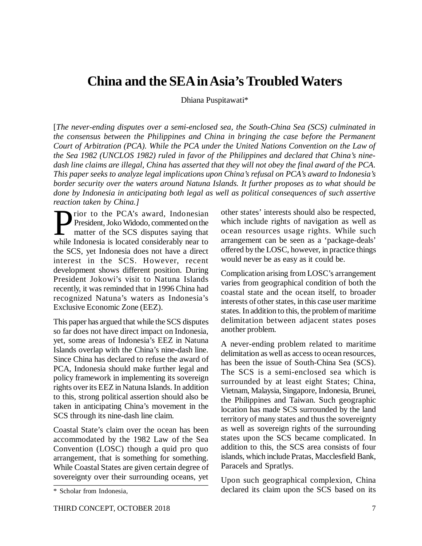# **China and the SEA in Asia's Troubled Waters**

Dhiana Puspitawati\*

[*The never-ending disputes over a semi-enclosed sea, the South-China Sea (SCS) culminated in the consensus between the Philippines and China in bringing the case before the Permanent Court of Arbitration (PCA). While the PCA under the United Nations Convention on the Law of the Sea 1982 (UNCLOS 1982) ruled in favor of the Philippines and declared that China's ninedash line claims are illegal, China has asserted that they will not obey the final award of the PCA. This paper seeks to analyze legal implications upon China's refusal on PCA's award to Indonesia's border security over the waters around Natuna Islands. It further proposes as to what should be done by Indonesia in anticipating both legal as well as political consequences of such assertive reaction taken by China.]*

**P** Friest To the PCA's award, Indonesian<br>President, Joko Widodo, commented on the<br>matter of the SCS disputes saying that<br>while Indonesia is located considerably near to rior to the PCA's award, Indonesian President, Joko Widodo, commented on the matter of the SCS disputes saying that the SCS, yet Indonesia does not have a direct interest in the SCS. However, recent development shows different position. During President Jokowi's visit to Natuna Islands recently, it was reminded that in 1996 China had recognized Natuna's waters as Indonesia's Exclusive Economic Zone (EEZ).

This paper has argued that while the SCS disputes so far does not have direct impact on Indonesia, yet, some areas of Indonesia's EEZ in Natuna Islands overlap with the China's nine-dash line. Since China has declared to refuse the award of PCA, Indonesia should make further legal and policy framework in implementing its sovereign rights over its EEZ in Natuna Islands. In addition to this, strong political assertion should also be taken in anticipating China's movement in the SCS through its nine-dash line claim.

Coastal State's claim over the ocean has been accommodated by the 1982 Law of the Sea Convention (LOSC) though a quid pro quo arrangement, that is something for something. While Coastal States are given certain degree of sovereignty over their surrounding oceans, yet other states' interests should also be respected, which include rights of navigation as well as ocean resources usage rights. While such arrangement can be seen as a 'package-deals' offered by the LOSC, however, in practice things would never be as easy as it could be.

Complication arising from LOSC's arrangement varies from geographical condition of both the coastal state and the ocean itself, to broader interests of other states, in this case user maritime states. In addition to this, the problem of maritime delimitation between adjacent states poses another problem.

A never-ending problem related to maritime delimitation as well as access to ocean resources, has been the issue of South-China Sea (SCS). The SCS is a semi-enclosed sea which is surrounded by at least eight States; China, Vietnam, Malaysia, Singapore, Indonesia, Brunei, the Philippines and Taiwan. Such geographic location has made SCS surrounded by the land territory of many states and thus the sovereignty as well as sovereign rights of the surrounding states upon the SCS became complicated. In addition to this, the SCS area consists of four islands, which include Pratas, Macclesfield Bank, Paracels and Spratlys.

Upon such geographical complexion, China declared its claim upon the SCS based on its

<sup>\*</sup> Scholar from Indonesia,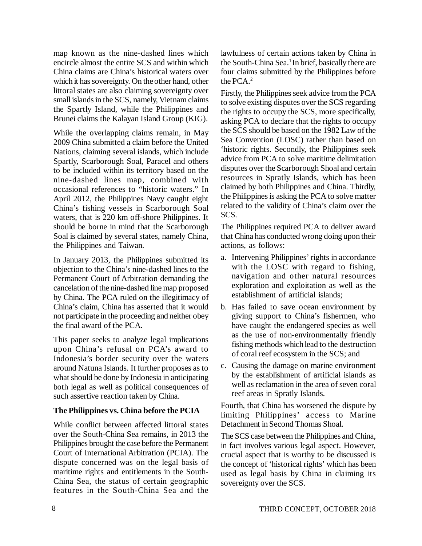map known as the nine-dashed lines which encircle almost the entire SCS and within which China claims are China's historical waters over which it has sovereignty. On the other hand, other littoral states are also claiming sovereignty over small islands in the SCS, namely, Vietnam claims the Spartly Island, while the Philippines and Brunei claims the Kalayan Island Group (KIG).

While the overlapping claims remain, in May 2009 China submitted a claim before the United Nations, claiming several islands, which include Spartly, Scarborough Soal, Paracel and others to be included within its territory based on the nine-dashed lines map, combined with occasional references to "historic waters." In April 2012, the Philippines Navy caught eight China's fishing vessels in Scarborough Soal waters, that is 220 km off-shore Philippines. It should be borne in mind that the Scarborough Soal is claimed by several states, namely China, the Philippines and Taiwan.

In January 2013, the Philippines submitted its objection to the China's nine-dashed lines to the Permanent Court of Arbitration demanding the cancelation of the nine-dashed line map proposed by China. The PCA ruled on the illegitimacy of China's claim, China has asserted that it would not participate in the proceeding and neither obey the final award of the PCA.

This paper seeks to analyze legal implications upon China's refusal on PCA's award to Indonesia's border security over the waters around Natuna Islands. It further proposes as to what should be done by Indonesia in anticipating both legal as well as political consequences of such assertive reaction taken by China.

#### **The Philippines vs. China before the PCIA**

While conflict between affected littoral states over the South-China Sea remains, in 2013 the Philippines brought the case before the Permanent Court of International Arbitration (PCIA). The dispute concerned was on the legal basis of maritime rights and entitlements in the South-China Sea, the status of certain geographic features in the South-China Sea and the lawfulness of certain actions taken by China in the South-China Sea.<sup>1</sup> In brief, basically there are four claims submitted by the Philippines before the PCA.<sup>2</sup>

Firstly, the Philippines seek advice from the PCA to solve existing disputes over the SCS regarding the rights to occupy the SCS, more specifically, asking PCA to declare that the rights to occupy the SCS should be based on the 1982 Law of the Sea Convention (LOSC) rather than based on 'historic rights. Secondly, the Philippines seek advice from PCA to solve maritime delimitation disputes over the Scarborough Shoal and certain resources in Spratly Islands, which has been claimed by both Philippines and China. Thirdly, the Philippines is asking the PCA to solve matter related to the validity of China's claim over the SCS.

The Philippines required PCA to deliver award that China has conducted wrong doing upon their actions, as follows:

- a. Intervening Philippines' rights in accordance with the LOSC with regard to fishing, navigation and other natural resources exploration and exploitation as well as the establishment of artificial islands;
- b. Has failed to save ocean environment by giving support to China's fishermen, who have caught the endangered species as well as the use of non-environmentally friendly fishing methods which lead to the destruction of coral reef ecosystem in the SCS; and
- c. Causing the damage on marine environment by the establishment of artificial islands as well as reclamation in the area of seven coral reef areas in Spratly Islands.

Fourth, that China has worsened the dispute by limiting Philippines' access to Marine Detachment in Second Thomas Shoal.

The SCS case between the Philippines and China, in fact involves various legal aspect. However, crucial aspect that is worthy to be discussed is the concept of 'historical rights' which has been used as legal basis by China in claiming its sovereignty over the SCS.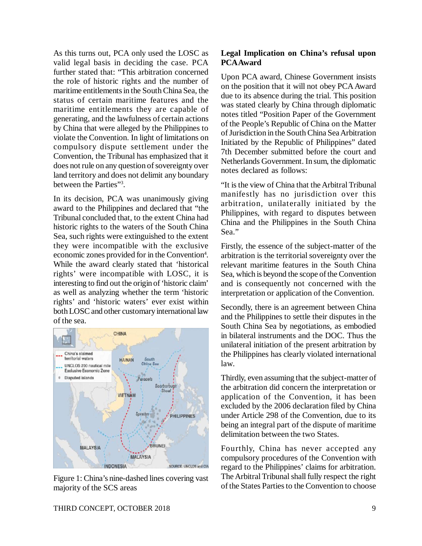As this turns out, PCA only used the LOSC as valid legal basis in deciding the case. PCA further stated that: "This arbitration concerned the role of historic rights and the number of maritime entitlements in the South China Sea, the status of certain maritime features and the maritime entitlements they are capable of generating, and the lawfulness of certain actions by China that were alleged by the Philippines to violate the Convention. In light of limitations on compulsory dispute settlement under the Convention, the Tribunal has emphasized that it does not rule on any question of sovereignty over land territory and does not delimit any boundary between the Parties"<sup>3</sup>.

In its decision, PCA was unanimously giving award to the Philippines and declared that "the Tribunal concluded that, to the extent China had historic rights to the waters of the South China Sea, such rights were extinguished to the extent they were incompatible with the exclusive economic zones provided for in the Convention<sup>4</sup>. While the award clearly stated that 'historical rights' were incompatible with LOSC, it is interesting to find out the origin of 'historic claim' as well as analyzing whether the term 'historic rights' and 'historic waters' ever exist within both LOSC and other customary international law of the sea.



Figure 1: China's nine-dashed lines covering vast majority of the SCS areas

#### **Legal Implication on China's refusal upon PCA Award**

Upon PCA award, Chinese Government insists on the position that it will not obey PCA Award due to its absence during the trial. This position was stated clearly by China through diplomatic notes titled "Position Paper of the Government of the People's Republic of China on the Matter of Jurisdiction in the South China Sea Arbitration Initiated by the Republic of Philippines" dated 7th December submitted before the court and Netherlands Government. In sum, the diplomatic notes declared as follows:

"It is the view of China that the Arbitral Tribunal manifestly has no jurisdiction over this arbitration, unilaterally initiated by the Philippines, with regard to disputes between China and the Philippines in the South China Sea."

Firstly, the essence of the subject-matter of the arbitration is the territorial sovereignty over the relevant maritime features in the South China Sea, which is beyond the scope of the Convention and is consequently not concerned with the interpretation or application of the Convention.

Secondly, there is an agreement between China and the Philippines to settle their disputes in the South China Sea by negotiations, as embodied in bilateral instruments and the DOC. Thus the unilateral initiation of the present arbitration by the Philippines has clearly violated international law.

Thirdly, even assuming that the subject-matter of the arbitration did concern the interpretation or application of the Convention, it has been excluded by the 2006 declaration filed by China under Article 298 of the Convention, due to its being an integral part of the dispute of maritime delimitation between the two States.

Fourthly, China has never accepted any compulsory procedures of the Convention with regard to the Philippines' claims for arbitration. The Arbitral Tribunal shall fully respect the right of the States Parties to the Convention to choose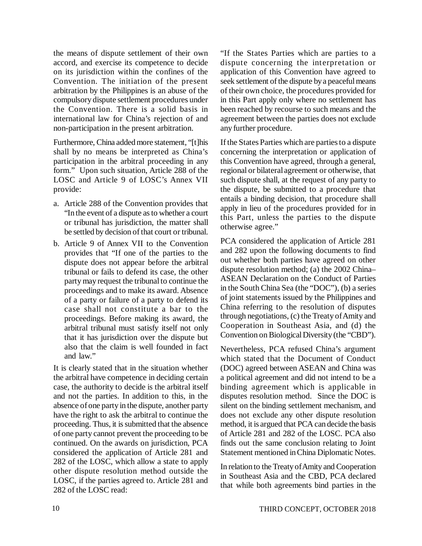the means of dispute settlement of their own accord, and exercise its competence to decide on its jurisdiction within the confines of the Convention. The initiation of the present arbitration by the Philippines is an abuse of the compulsory dispute settlement procedures under the Convention. There is a solid basis in international law for China's rejection of and non-participation in the present arbitration.

Furthermore, China added more statement, "[t]his shall by no means be interpreted as China's participation in the arbitral proceeding in any form." Upon such situation, Article 288 of the LOSC and Article 9 of LOSC's Annex VII provide:

- a. Article 288 of the Convention provides that "In the event of a dispute as to whether a court or tribunal has jurisdiction, the matter shall be settled by decision of that court or tribunal.
- b. Article 9 of Annex VII to the Convention provides that "If one of the parties to the dispute does not appear before the arbitral tribunal or fails to defend its case, the other party may request the tribunal to continue the proceedings and to make its award. Absence of a party or failure of a party to defend its case shall not constitute a bar to the proceedings. Before making its award, the arbitral tribunal must satisfy itself not only that it has jurisdiction over the dispute but also that the claim is well founded in fact and law."

It is clearly stated that in the situation whether the arbitral have competence in deciding certain case, the authority to decide is the arbitral itself and not the parties. In addition to this, in the absence of one party in the dispute, another party have the right to ask the arbitral to continue the proceeding. Thus, it is submitted that the absence of one party cannot prevent the proceeding to be continued. On the awards on jurisdiction, PCA considered the application of Article 281 and 282 of the LOSC, which allow a state to apply other dispute resolution method outside the LOSC, if the parties agreed to. Article 281 and 282 of the LOSC read:

"If the States Parties which are parties to a dispute concerning the interpretation or application of this Convention have agreed to seek settlement of the dispute by a peaceful means of their own choice, the procedures provided for in this Part apply only where no settlement has been reached by recourse to such means and the agreement between the parties does not exclude any further procedure.

If the States Parties which are parties to a dispute concerning the interpretation or application of this Convention have agreed, through a general, regional or bilateral agreement or otherwise, that such dispute shall, at the request of any party to the dispute, be submitted to a procedure that entails a binding decision, that procedure shall apply in lieu of the procedures provided for in this Part, unless the parties to the dispute otherwise agree."

PCA considered the application of Article 281 and 282 upon the following documents to find out whether both parties have agreed on other dispute resolution method; (a) the 2002 China– ASEAN Declaration on the Conduct of Parties in the South China Sea (the "DOC"), (b) a series of joint statements issued by the Philippines and China referring to the resolution of disputes through negotiations, (c) the Treaty of Amity and Cooperation in Southeast Asia, and (d) the Convention on Biological Diversity (the "CBD").

Nevertheless, PCA refused China's argument which stated that the Document of Conduct (DOC) agreed between ASEAN and China was a political agreement and did not intend to be a binding agreement which is applicable in disputes resolution method. Since the DOC is silent on the binding settlement mechanism, and does not exclude any other dispute resolution method, it is argued that PCA can decide the basis of Article 281 and 282 of the LOSC. PCA also finds out the same conclusion relating to Joint Statement mentioned in China Diplomatic Notes.

In relation to the Treaty of Amity and Cooperation in Southeast Asia and the CBD, PCA declared that while both agreements bind parties in the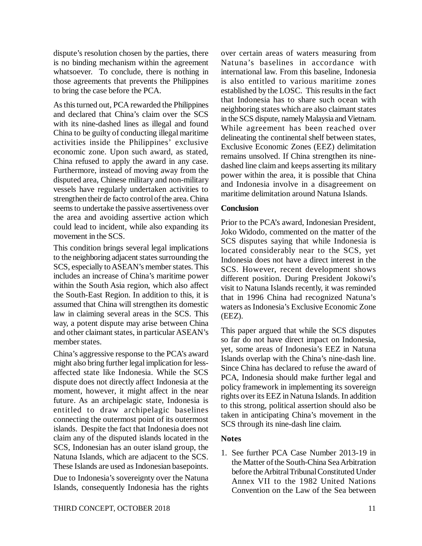dispute's resolution chosen by the parties, there is no binding mechanism within the agreement whatsoever. To conclude, there is nothing in those agreements that prevents the Philippines to bring the case before the PCA.

As this turned out, PCA rewarded the Philippines and declared that China's claim over the SCS with its nine-dashed lines as illegal and found China to be guilty of conducting illegal maritime activities inside the Philippines' exclusive economic zone. Upon such award, as stated, China refused to apply the award in any case. Furthermore, instead of moving away from the disputed area, Chinese military and non-military vessels have regularly undertaken activities to strengthen their de facto control of the area. China seems to undertake the passive assertiveness over the area and avoiding assertive action which could lead to incident, while also expanding its movement in the SCS.

This condition brings several legal implications to the neighboring adjacent states surrounding the SCS, especially to ASEAN's member states. This includes an increase of China's maritime power within the South Asia region, which also affect the South-East Region. In addition to this, it is assumed that China will strengthen its domestic law in claiming several areas in the SCS. This way, a potent dispute may arise between China and other claimant states, in particular ASEAN's member states.

China's aggressive response to the PCA's award might also bring further legal implication for lessaffected state like Indonesia. While the SCS dispute does not directly affect Indonesia at the moment, however, it might affect in the near future. As an archipelagic state, Indonesia is entitled to draw archipelagic baselines connecting the outermost point of its outermost islands. Despite the fact that Indonesia does not claim any of the disputed islands located in the SCS, Indonesian has an outer island group, the Natuna Islands, which are adjacent to the SCS. These Islands are used as Indonesian basepoints.

Due to Indonesia's sovereignty over the Natuna Islands, consequently Indonesia has the rights over certain areas of waters measuring from Natuna's baselines in accordance with international law. From this baseline, Indonesia is also entitled to various maritime zones established by the LOSC. This results in the fact that Indonesia has to share such ocean with neighboring states which are also claimant states in the SCS dispute, namely Malaysia and Vietnam. While agreement has been reached over delineating the continental shelf between states, Exclusive Economic Zones (EEZ) delimitation remains unsolved. If China strengthen its ninedashed line claim and keeps asserting its military power within the area, it is possible that China and Indonesia involve in a disagreement on maritime delimitation around Natuna Islands.

#### **Conclusion**

Prior to the PCA's award, Indonesian President, Joko Widodo, commented on the matter of the SCS disputes saying that while Indonesia is located considerably near to the SCS, yet Indonesia does not have a direct interest in the SCS. However, recent development shows different position. During President Jokowi's visit to Natuna Islands recently, it was reminded that in 1996 China had recognized Natuna's waters as Indonesia's Exclusive Economic Zone (EEZ).

This paper argued that while the SCS disputes so far do not have direct impact on Indonesia, yet, some areas of Indonesia's EEZ in Natuna Islands overlap with the China's nine-dash line. Since China has declared to refuse the award of PCA, Indonesia should make further legal and policy framework in implementing its sovereign rights over its EEZ in Natuna Islands. In addition to this strong, political assertion should also be taken in anticipating China's movement in the SCS through its nine-dash line claim.

#### **Notes**

1. See further PCA Case Number 2013-19 in the Matter of the South-China Sea Arbitration before the Arbitral Tribunal Constituted Under Annex VII to the 1982 United Nations Convention on the Law of the Sea between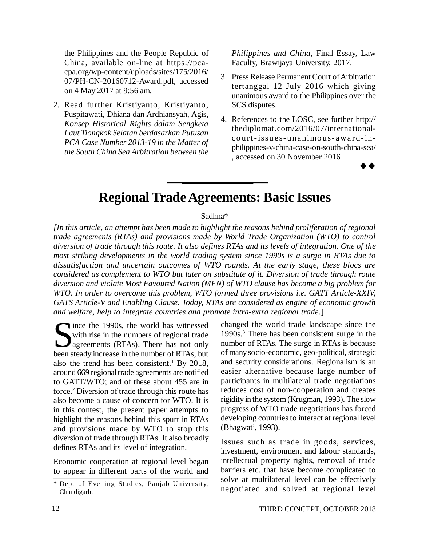the Philippines and the People Republic of China, available on-line at https://pcacpa.org/wp-content/uploads/sites/175/2016/ 07/PH-CN-20160712-Award.pdf, accessed on 4 May 2017 at 9:56 am.

2. Read further Kristiyanto, Kristiyanto, Puspitawati, Dhiana dan Ardhiansyah, Agis, *Konsep Historical Rights dalam Sengketa Laut Tiongkok Selatan berdasarkan Putusan PCA Case Number 2013-19 in the Matter of the South China Sea Arbitration between the*

*Philippines and China*, Final Essay, Law Faculty, Brawijaya University, 2017.

- 3. Press Release Permanent Court of Arbitration tertanggal 12 July 2016 which giving unanimous award to the Philippines over the SCS disputes.
- 4. References to the LOSC, see further <http://> thediplomat.com/2016/07/internationalco ur t - issu es- u nanimo us - awa r d- inphilippines-v-china-case-on-south-china-sea/ , accessed on 30 November 2016



# **Regional Trade Agreements: Basic Issues**

#### Sadhna\*

*[In this article, an attempt has been made to highlight the reasons behind proliferation of regional trade agreements (RTAs) and provisions made by World Trade Organization (WTO) to control diversion of trade through this route. It also defines RTAs and its levels of integration. One of the most striking developments in the world trading system since 1990s is a surge in RTAs due to dissatisfaction and uncertain outcomes of WTO rounds. At the early stage, these blocs are considered as complement to WTO but later on substitute of it. Diversion of trade through route diversion and violate Most Favoured Nation (MFN) of WTO clause has become a big problem for WTO. In order to overcome this problem, WTO formed three provisions i.e. GATT Article-XXIV, GATS Article-V and Enabling Clause. Today, RTAs are considered as engine of economic growth and welfare, help to integrate countries and promote intra-extra regional trade*.]

Since the 1990s, the world has witnessed<br>
with rise in the numbers of regional trade<br>
agreements (RTAs). There has not only<br>
been steady increase in the number of RTAs but with rise in the numbers of regional trade agreements (RTAs). There has not only been steady increase in the number of RTAs, but also the trend has been consistent.<sup>1</sup> By 2018, around 669 regional trade agreements are notified to GATT/WTO; and of these about 455 are in force.<sup>2</sup> Diversion of trade through this route has also become a cause of concern for WTO. It is in this contest, the present paper attempts to highlight the reasons behind this spurt in RTAs and provisions made by WTO to stop this diversion of trade through RTAs. It also broadly defines RTAs and its level of integration.

Economic cooperation at regional level began to appear in different parts of the world and changed the world trade landscape since the 1990s.<sup>3</sup> There has been consistent surge in the number of RTAs. The surge in RTAs is because of many socio-economic, geo-political, strategic and security considerations. Regionalism is an easier alternative because large number of participants in multilateral trade negotiations reduces cost of non-cooperation and creates rigidity in the system (Krugman, 1993). The slow progress of WTO trade negotiations has forced developing countries to interact at regional level (Bhagwati, 1993).

Issues such as trade in goods, services, investment, environment and labour standards, intellectual property rights, removal of trade barriers etc. that have become complicated to solve at multilateral level can be effectively negotiated and solved at regional level

<sup>\*</sup> Dept of Evening Studies, Panjab University, Chandigarh.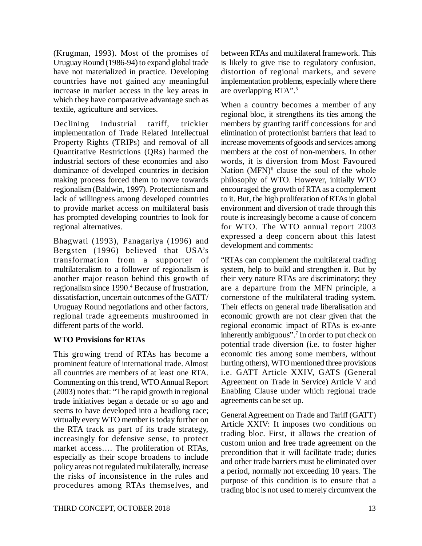(Krugman, 1993). Most of the promises of Uruguay Round (1986-94) to expand global trade have not materialized in practice. Developing countries have not gained any meaningful increase in market access in the key areas in which they have comparative advantage such as textile, agriculture and services.

Declining industrial tariff, trickier implementation of Trade Related Intellectual Property Rights (TRIPs) and removal of all Quantitative Restrictions (QRs) harmed the industrial sectors of these economies and also dominance of developed countries in decision making process forced them to move towards regionalism (Baldwin, 1997). Protectionism and lack of willingness among developed countries to provide market access on multilateral basis has prompted developing countries to look for regional alternatives.

Bhagwati (1993), Panagariya (1996) and Bergsten (1996) believed that USA's transformation from a supporter of multilateralism to a follower of regionalism is another major reason behind this growth of regionalism since 1990.<sup>4</sup> Because of frustration, dissatisfaction, uncertain outcomes of the GATT/ Uruguay Round negotiations and other factors, regional trade agreements mushroomed in different parts of the world.

#### **WTO Provisions for RTAs**

This growing trend of RTAs has become a prominent feature of international trade. Almost all countries are members of at least one RTA. Commenting on this trend, WTO Annual Report (2003) notes that: "The rapid growth in regional trade initiatives began a decade or so ago and seems to have developed into a headlong race; virtually every WTO member is today further on the RTA track as part of its trade strategy, increasingly for defensive sense, to protect market access…. The proliferation of RTAs, especially as their scope broadens to include policy areas not regulated multilaterally, increase the risks of inconsistence in the rules and procedures among RTAs themselves, and between RTAs and multilateral framework. This is likely to give rise to regulatory confusion, distortion of regional markets, and severe implementation problems, especially where there are overlapping RTA".<sup>5</sup>

When a country becomes a member of any regional bloc, it strengthens its ties among the members by granting tariff concessions for and elimination of protectionist barriers that lead to increase movements of goods and services among members at the cost of non-members. In other words, it is diversion from Most Favoured Nation (MFN)<sup>6</sup> clause the soul of the whole philosophy of WTO. However, initially WTO encouraged the growth of RTA as a complement to it. But, the high proliferation of RTAs in global environment and diversion of trade through this route is increasingly become a cause of concern for WTO. The WTO annual report 2003 expressed a deep concern about this latest development and comments:

"RTAs can complement the multilateral trading system, help to build and strengthen it. But by their very nature RTAs are discriminatory; they are a departure from the MFN principle, a cornerstone of the multilateral trading system. Their effects on general trade liberalisation and economic growth are not clear given that the regional economic impact of RTAs is ex-ante inherently ambiguous".<sup>7</sup> In order to put check on potential trade diversion (i.e. to foster higher economic ties among some members, without hurting others), WTO mentioned three provisions i.e. GATT Article XXIV, GATS (General Agreement on Trade in Service) Article V and Enabling Clause under which regional trade agreements can be set up.

General Agreement on Trade and Tariff (GATT) Article XXIV: It imposes two conditions on trading bloc. First, it allows the creation of custom union and free trade agreement on the precondition that it will facilitate trade; duties and other trade barriers must be eliminated over a period, normally not exceeding 10 years. The purpose of this condition is to ensure that a trading bloc is not used to merely circumvent the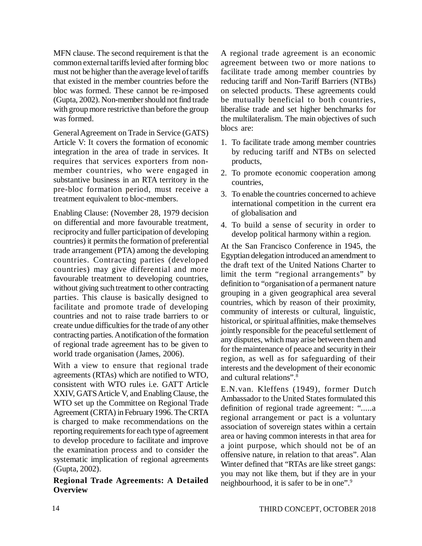MFN clause. The second requirement is that the common external tariffs levied after forming bloc must not be higher than the average level of tariffs that existed in the member countries before the bloc was formed. These cannot be re-imposed (Gupta, 2002). Non-member should not find trade with group more restrictive than before the group was formed.

General Agreement on Trade in Service (GATS) Article V: It covers the formation of economic integration in the area of trade in services. It requires that services exporters from nonmember countries, who were engaged in substantive business in an RTA territory in the pre-bloc formation period, must receive a treatment equivalent to bloc-members.

Enabling Clause: (November 28, 1979 decision on differential and more favourable treatment, reciprocity and fuller participation of developing countries) it permits the formation of preferential trade arrangement (PTA) among the developing countries. Contracting parties (developed countries) may give differential and more favourable treatment to developing countries, without giving such treatment to other contracting parties. This clause is basically designed to facilitate and promote trade of developing countries and not to raise trade barriers to or create undue difficulties for the trade of any other contracting parties. A notification of the formation of regional trade agreement has to be given to world trade organisation (James, 2006).

With a view to ensure that regional trade agreements (RTAs) which are notified to WTO, consistent with WTO rules i.e. GATT Article XXIV, GATS Article V, and Enabling Clause, the WTO set up the Committee on Regional Trade Agreement (CRTA) in February 1996. The CRTA is charged to make recommendations on the reporting requirements for each type of agreement to develop procedure to facilitate and improve the examination process and to consider the systematic implication of regional agreements (Gupta, 2002).

### **Regional Trade Agreements: A Detailed Overview**

A regional trade agreement is an economic agreement between two or more nations to facilitate trade among member countries by reducing tariff and Non-Tariff Barriers (NTBs) on selected products. These agreements could be mutually beneficial to both countries, liberalise trade and set higher benchmarks for the multilateralism. The main objectives of such blocs are:

- 1. To facilitate trade among member countries by reducing tariff and NTBs on selected products,
- 2. To promote economic cooperation among countries,
- 3. To enable the countries concerned to achieve international competition in the current era of globalisation and
- 4. To build a sense of security in order to develop political harmony within a region.

At the San Francisco Conference in 1945, the Egyptian delegation introduced an amendment to the draft text of the United Nations Charter to limit the term "regional arrangements" by definition to "organisation of a permanent nature grouping in a given geographical area several countries, which by reason of their proximity, community of interests or cultural, linguistic, historical, or spiritual affinities, make themselves jointly responsible for the peaceful settlement of any disputes, which may arise between them and for the maintenance of peace and security in their region, as well as for safeguarding of their interests and the development of their economic and cultural relations".<sup>8</sup>

E.N.van. Kleffens (1949), former Dutch Ambassador to the United States formulated this definition of regional trade agreement: ".....a regional arrangement or pact is a voluntary association of sovereign states within a certain area or having common interests in that area for a joint purpose, which should not be of an offensive nature, in relation to that areas". Alan Winter defined that "RTAs are like street gangs: you may not like them, but if they are in your neighbourhood, it is safer to be in one".9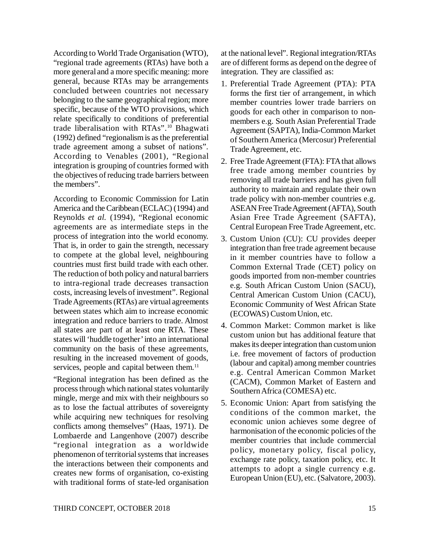According to World Trade Organisation (WTO), "regional trade agreements (RTAs) have both a more general and a more specific meaning: more general, because RTAs may be arrangements concluded between countries not necessary belonging to the same geographical region; more specific, because of the WTO provisions, which relate specifically to conditions of preferential trade liberalisation with RTAs".<sup>10</sup> Bhagwati (1992) defined "regionalism is as the preferential trade agreement among a subset of nations". According to Venables (2001), "Regional integration is grouping of countries formed with the objectives of reducing trade barriers between the members".

According to Economic Commission for Latin America and the Caribbean (ECLAC) (1994) and Reynolds *et al.* (1994), "Regional economic agreements are as intermediate steps in the process of integration into the world economy. That is, in order to gain the strength, necessary to compete at the global level, neighbouring countries must first build trade with each other. The reduction of both policy and natural barriers to intra-regional trade decreases transaction costs, increasing levels of investment". Regional Trade Agreements (RTAs) are virtual agreements between states which aim to increase economic integration and reduce barriers to trade. Almost all states are part of at least one RTA. These states will 'huddle together' into an international community on the basis of these agreements, resulting in the increased movement of goods, services, people and capital between them.<sup>11</sup>

"Regional integration has been defined as the process through which national states voluntarily mingle, merge and mix with their neighbours so as to lose the factual attributes of sovereignty while acquiring new techniques for resolving conflicts among themselves" (Haas, 1971). De Lombaerde and Langenhove (2007) describe "regional integration as a worldwide phenomenon of territorial systems that increases the interactions between their components and creates new forms of organisation, co-existing with traditional forms of state-led organisation at the national level". Regional integration/RTAs are of different forms as depend on the degree of integration. They are classified as:

- 1. Preferential Trade Agreement (PTA): PTA forms the first tier of arrangement, in which member countries lower trade barriers on goods for each other in comparison to nonmembers e.g. South Asian Preferential Trade Agreement (SAPTA), India-Common Market of Southern America (Mercosur) Preferential Trade Agreement, etc.
- 2. Free Trade Agreement (FTA): FTA that allows free trade among member countries by removing all trade barriers and has given full authority to maintain and regulate their own trade policy with non-member countries e.g. ASEAN Free Trade Agreement (AFTA), South Asian Free Trade Agreement (SAFTA), Central European Free Trade Agreement, etc.
- 3. Custom Union (CU): CU provides deeper integration than free trade agreement because in it member countries have to follow a Common External Trade (CET) policy on goods imported from non-member countries e.g. South African Custom Union (SACU), Central American Custom Union (CACU), Economic Community of West African State (ECOWAS) Custom Union, etc.
- 4. Common Market: Common market is like custom union but has additional feature that makes its deeper integration than custom union i.e. free movement of factors of production (labour and capital) among member countries e.g. Central American Common Market (CACM), Common Market of Eastern and Southern Africa (COMESA) etc.
- 5. Economic Union: Apart from satisfying the conditions of the common market, the economic union achieves some degree of harmonisation of the economic policies of the member countries that include commercial policy, monetary policy, fiscal policy, exchange rate policy, taxation policy, etc. It attempts to adopt a single currency e.g. European Union (EU), etc. (Salvatore, 2003).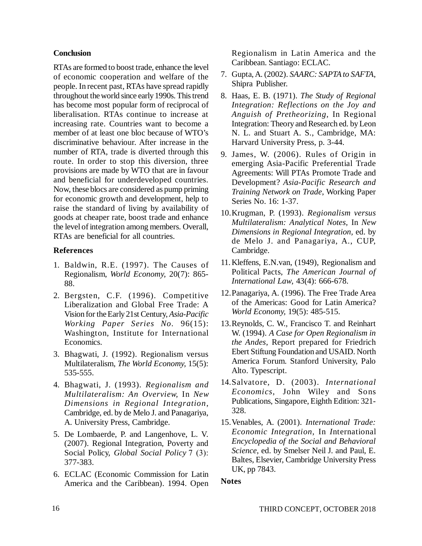#### **Conclusion**

RTAs are formed to boost trade, enhance the level of economic cooperation and welfare of the people. In recent past, RTAs have spread rapidly throughout the world since early 1990s. This trend has become most popular form of reciprocal of liberalisation. RTAs continue to increase at increasing rate. Countries want to become a member of at least one bloc because of WTO's discriminative behaviour. After increase in the number of RTA, trade is diverted through this route. In order to stop this diversion, three provisions are made by WTO that are in favour and beneficial for underdeveloped countries. Now, these blocs are considered as pump priming for economic growth and development, help to raise the standard of living by availability of goods at cheaper rate, boost trade and enhance the level of integration among members. Overall, RTAs are beneficial for all countries.

### **References**

- 1. Baldwin, R.E. (1997). The Causes of Regionalism, *World Economy,* 20(7): 865- 88.
- 2. Bergsten, C.F. (1996). Competitive Liberalization and Global Free Trade: A Vision for the Early 21st Century, *Asia-Pacific Working Paper Series No.* 96(15): Washington, Institute for International Economics.
- 3. Bhagwati, J. (1992). Regionalism versus Multilateralism, *The World Economy,* 15(5): 535-555.
- 4. Bhagwati, J. (1993). *Regionalism and Multilateralism: An Overview,* In *New Dimensions in Regional Integration*, Cambridge, ed. by de Melo J. and Panagariya, A. University Press, Cambridge.
- 5. De Lombaerde, P. and Langenhove, L. V. (2007). Regional Integration, Poverty and Social Policy, *Global Social Policy* 7 (3): 377-383.
- 6. ECLAC (Economic Commission for Latin America and the Caribbean). 1994. Open

Regionalism in Latin America and the Caribbean. Santiago: ECLAC.

- 7. Gupta, A. (2002). *SAARC: SAPTA to SAFTA*, Shipra Publisher.
- 8. Haas, E. B. (1971). *The Study of Regional Integration: Reflections on the Joy and Anguish of Pretheorizing*, In Regional Integration: Theory and Research ed. by Leon N. L. and Stuart A. S., Cambridge, MA: Harvard University Press, p. 3-44.
- 9. James, W. (2006). Rules of Origin in emerging Asia-Pacific Preferential Trade Agreements: Will PTAs Promote Trade and Development? *Asia-Pacific Research and Training Network on Trade*, Working Paper Series No. 16: 1-37.
- 10.Krugman, P. (1993). *Regionalism versus Multilateralism: Analytical Notes,* In *New Dimensions in Regional Integration,* ed. by de Melo J. and Panagariya, A., CUP, Cambridge.
- 11.Kleffens, E.N.van, (1949), Regionalism and Political Pacts, *The American Journal of International Law*, 43(4): 666-678.
- 12.Panagariya, A. (1996). The Free Trade Area of the Americas: Good for Latin America? *World Economy,* 19(5): 485-515.
- 13.Reynolds, C. W., Francisco T. and Reinhart W. (1994). *A Case for Open Regionalism in the Andes*, Report prepared for Friedrich Ebert Stiftung Foundation and USAID. North America Forum. Stanford University, Palo Alto. Typescript.
- 14.Salvatore, D. (2003). *International Economics*, John Wiley and Sons Publications, Singapore, Eighth Edition: 321- 328.
- 15.Venables, A. (2001). *International Trade: Economic Integration*, In *I*nternational *Encyclopedia of the Social and Behavioral Science*, ed. by Smelser Neil J. and Paul, E. Baltes, Elsevier, Cambridge University Press UK, pp 7843.

#### **Notes**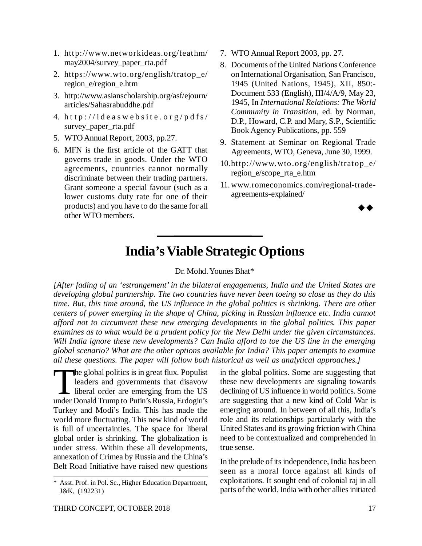- 1. http://www.networkideas.org/feathm/ may2004/survey\_paper\_rta.pdf
- 2. https://www.wto.org/english/tratop\_e/ region\_e/region\_e.htm
- 3. <http://www.asianscholarship.org/asf/ejourn/> articles/Sahasrabuddhe.pdf
- 4. http://ideaswebsite.org/pdfs/ survey\_paper\_rta.pdf
- 5. WTO Annual Report, 2003, pp.27.
- 6. MFN is the first article of the GATT that governs trade in goods. Under the WTO agreements, countries cannot normally discriminate between their trading partners. Grant someone a special favour (such as a lower customs duty rate for one of their products) and you have to do the same for all other WTO members.
- 7. WTO Annual Report 2003, pp. 27.
- 8. Documents of the United Nations Conference on International Organisation, San Francisco, 1945 (United Nations, 1945), XII, 850:- Document 533 (English), III/4/A/9, May 23, 1945, In *International Relations: The World Community in Transition*, ed. by Norman, D.P., Howard, C.P. and Mary, S.P., Scientific Book Agency Publications, pp. 559
- 9. Statement at Seminar on Regional Trade Agreements, WTO, Geneva, June 30, 1999.
- 10.http://www.wto.org/english/tratop\_e/ region\_e/scope\_rta\_e.htm
- 11.[www.romeconomics.com/regional-trade](http://www.romeconomics.com/regional-trade-)agreements-explained/



# **India's Viable Strategic Options**

#### Dr. Mohd. Younes Bhat\*

*[After fading of an 'estrangement' in the bilateral engagements, India and the United States are developing global partnership. The two countries have never been toeing so close as they do this time. But, this time around, the US influence in the global politics is shrinking. There are other centers of power emerging in the shape of China, picking in Russian influence etc. India cannot afford not to circumvent these new emerging developments in the global politics. This paper examines as to what would be a prudent policy for the New Delhi under the given circumstances. Will India ignore these new developments? Can India afford to toe the US line in the emerging global scenario? What are the other options available for India? This paper attempts to examine all these questions. The paper will follow both historical as well as analytical approaches.]*

 $\prod_{\text{under } I}$ The global politics is in great flux. Populist leaders and governments that disavow liberal order are emerging from the US under Donald Trump to Putin's Russia, Erdogin's Turkey and Modi's India. This has made the world more fluctuating. This new kind of world is full of uncertainties. The space for liberal global order is shrinking. The globalization is under stress. Within these all developments, annexation of Crimea by Russia and the China's Belt Road Initiative have raised new questions

in the global politics. Some are suggesting that these new developments are signaling towards declining of US influence in world politics. Some are suggesting that a new kind of Cold War is emerging around. In between of all this, India's role and its relationships particularly with the United States and its growing friction with China need to be contextualized and comprehended in true sense.

In the prelude of its independence, India has been seen as a moral force against all kinds of exploitations. It sought end of colonial raj in all parts of the world. India with other allies initiated

<sup>\*</sup> Asst. Prof. in Pol. Sc., Higher Education Department, J&K, (192231)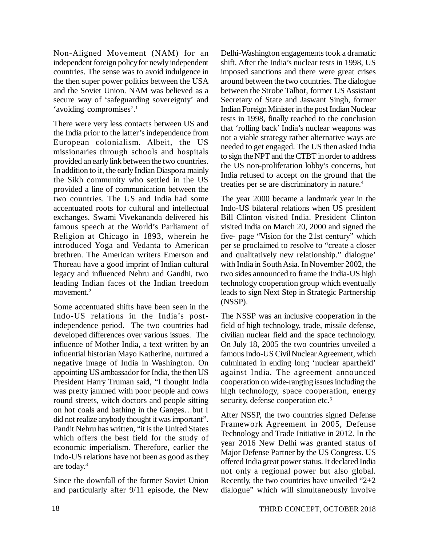Non-Aligned Movement (NAM) for an independent foreign policy for newly independent countries. The sense was to avoid indulgence in the then super power politics between the USA and the Soviet Union. NAM was believed as a secure way of 'safeguarding sovereignty' and 'avoiding compromises'.<sup>1</sup>

There were very less contacts between US and the India prior to the latter's independence from European colonialism. Albeit, the US missionaries through schools and hospitals provided an early link between the two countries. In addition to it, the early Indian Diaspora mainly the Sikh community who settled in the US provided a line of communication between the two countries. The US and India had some accentuated roots for cultural and intellectual exchanges. Swami Vivekananda delivered his famous speech at the World's Parliament of Religion at Chicago in 1893, wherein he introduced Yoga and Vedanta to American brethren. The American writers Emerson and Thoreau have a good imprint of Indian cultural legacy and influenced Nehru and Gandhi, two leading Indian faces of the Indian freedom movement.<sup>2</sup>

Some accentuated shifts have been seen in the Indo-US relations in the India's postindependence period. The two countries had developed differences over various issues. The influence of Mother India, a text written by an influential historian Mayo Katherine, nurtured a negative image of India in Washington. On appointing US ambassador for India, the then US President Harry Truman said, "I thought India was pretty jammed with poor people and cows round streets, witch doctors and people sitting on hot coals and bathing in the Ganges…but I did not realize anybody thought it was important". Pandit Nehru has written, "it is the United States which offers the best field for the study of economic imperialism. Therefore, earlier the Indo-US relations have not been as good as they are today.<sup>3</sup>

Since the downfall of the former Soviet Union and particularly after 9/11 episode, the New Delhi-Washington engagements took a dramatic shift. After the India's nuclear tests in 1998, US imposed sanctions and there were great crises around between the two countries. The dialogue between the Strobe Talbot, former US Assistant Secretary of State and Jaswant Singh, former Indian Foreign Minister in the post Indian Nuclear tests in 1998, finally reached to the conclusion that 'rolling back' India's nuclear weapons was not a viable strategy rather alternative ways are needed to get engaged. The US then asked India to sign the NPT and the CTBT in order to address the US non-proliferation lobby's concerns, but India refused to accept on the ground that the treaties per se are discriminatory in nature.<sup>4</sup>

The year 2000 became a landmark year in the Indo-US bilateral relations when US president Bill Clinton visited India. President Clinton visited India on March 20, 2000 and signed the five- page "Vision for the 21st century" which per se proclaimed to resolve to "create a closer and qualitatively new relationship." dialogue' with India in South Asia. In November 2002, the two sides announced to frame the India-US high technology cooperation group which eventually leads to sign Next Step in Strategic Partnership (NSSP).

The NSSP was an inclusive cooperation in the field of high technology, trade, missile defense, civilian nuclear field and the space technology. On July 18, 2005 the two countries unveiled a famous Indo-US Civil Nuclear Agreement, which culminated in ending long 'nuclear apartheid' against India. The agreement announced cooperation on wide-ranging issues including the high technology, space cooperation, energy security, defense cooperation etc.<sup>5</sup>

After NSSP, the two countries signed Defense Framework Agreement in 2005, Defense Technology and Trade Initiative in 2012. In the year 2016 New Delhi was granted status of Major Defense Partner by the US Congress. US offered India great power status. It declared India not only a regional power but also global. Recently, the two countries have unveiled "2+2 dialogue" which will simultaneously involve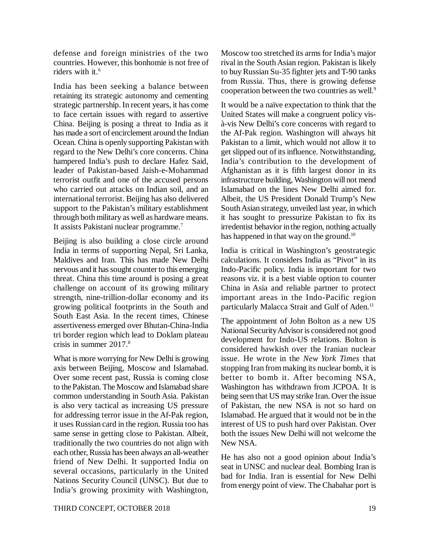defense and foreign ministries of the two countries. However, this bonhomie is not free of riders with it.<sup>6</sup>

India has been seeking a balance between retaining its strategic autonomy and cementing strategic partnership. In recent years, it has come to face certain issues with regard to assertive China. Beijing is posing a threat to India as it has made a sort of encirclement around the Indian Ocean. China is openly supporting Pakistan with regard to the New Delhi's core concerns. China hampered India's push to declare Hafez Said, leader of Pakistan-based Jaish-e-Mohammad terrorist outfit and one of the accused persons who carried out attacks on Indian soil, and an international terrorist. Beijing has also delivered support to the Pakistan's military establishment through both military as well as hardware means. It assists Pakistani nuclear programme.<sup>7</sup>

Beijing is also building a close circle around India in terms of supporting Nepal, Sri Lanka, Maldives and Iran. This has made New Delhi nervous and it has sought counter to this emerging threat. China this time around is posing a great challenge on account of its growing military strength, nine-trillion-dollar economy and its growing political footprints in the South and South East Asia. In the recent times, Chinese assertiveness emerged over Bhutan-China-India tri border region which lead to Doklam plateau crisis in summer 2017.<sup>8</sup>

What is more worrying for New Delhi is growing axis between Beijing, Moscow and Islamabad. Over some recent past, Russia is coming close to the Pakistan. The Moscow and Islamabad share common understanding in South Asia. Pakistan is also very tactical as increasing US pressure for addressing terror issue in the Af-Pak region, it uses Russian card in the region. Russia too has same sense in getting close to Pakistan. Albeit, traditionally the two countries do not align with each other, Russia has been always an all-weather friend of New Delhi. It supported India on several occasions, particularly in the United Nations Security Council (UNSC). But due to India's growing proximity with Washington, Moscow too stretched its arms for India's major rival in the South Asian region. Pakistan is likely to buy Russian Su-35 fighter jets and T-90 tanks from Russia. Thus, there is growing defense cooperation between the two countries as well.<sup>9</sup>

It would be a naïve expectation to think that the United States will make a congruent policy visà-vis New Delhi's core concerns with regard to the Af-Pak region. Washington will always hit Pakistan to a limit, which would not allow it to get slipped out of its influence. Notwithstanding, India's contribution to the development of Afghanistan as it is fifth largest donor in its infrastructure building, Washington will not mend Islamabad on the lines New Delhi aimed for. Albeit, the US President Donald Trump's New South Asian strategy, unveiled last year, in which it has sought to pressurize Pakistan to fix its irredentist behavior in the region, nothing actually has happened in that way on the ground.<sup>10</sup>

India is critical in Washington's geostrategic calculations. It considers India as "Pivot" in its Indo-Pacific policy. India is important for two reasons viz. it is a best viable option to counter China in Asia and reliable partner to protect important areas in the Indo-Pacific region particularly Malacca Strait and Gulf of Aden.<sup>11</sup>

The appointment of John Bolton as a new US National Security Advisor is considered not good development for Indo-US relations. Bolton is considered hawkish over the Iranian nuclear issue. He wrote in the *New York Times* that stopping Iran from making its nuclear bomb, it is better to bomb it. After becoming NSA, Washington has withdrawn from JCPOA. It is being seen that US may strike Iran. Over the issue of Pakistan, the new NSA is not so hard on Islamabad. He argued that it would not be in the interest of US to push hard over Pakistan. Over both the issues New Delhi will not welcome the New NSA.

He has also not a good opinion about India's seat in UNSC and nuclear deal. Bombing Iran is bad for India. Iran is essential for New Delhi from energy point of view. The Chabahar port is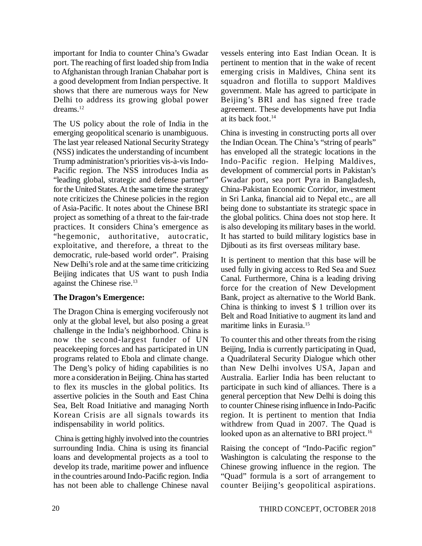important for India to counter China's Gwadar port. The reaching of first loaded ship from India to Afghanistan through Iranian Chabahar port is a good development from Indian perspective. It shows that there are numerous ways for New Delhi to address its growing global power dreams.<sup>12</sup>

The US policy about the role of India in the emerging geopolitical scenario is unambiguous. The last year released National Security Strategy (NSS) indicates the understanding of incumbent Trump administration's priorities vis-à-vis Indo-Pacific region. The NSS introduces India as "leading global, strategic and defense partner" for the United States. At the same time the strategy note criticizes the Chinese policies in the region of Asia-Pacific. It notes about the Chinese BRI project as something of a threat to the fair-trade practices. It considers China's emergence as "hegemonic, authoritative, autocratic, exploitative, and therefore, a threat to the democratic, rule-based world order". Praising New Delhi's role and at the same time criticizing Beijing indicates that US want to push India against the Chinese rise.<sup>13</sup>

#### **The Dragon's Emergence:**

The Dragon China is emerging vociferously not only at the global level, but also posing a great challenge in the India's neighborhood. China is now the second-largest funder of UN peacekeeping forces and has participated in UN programs related to Ebola and climate change. The Deng's policy of hiding capabilities is no more a consideration in Beijing. China has started to flex its muscles in the global politics. Its assertive policies in the South and East China Sea, Belt Road Initiative and managing North Korean Crisis are all signals towards its indispensability in world politics.

 China is getting highly involved into the countries surrounding India. China is using its financial loans and developmental projects as a tool to develop its trade, maritime power and influence in the countries around Indo-Pacific region. India has not been able to challenge Chinese naval

vessels entering into East Indian Ocean. It is pertinent to mention that in the wake of recent emerging crisis in Maldives, China sent its squadron and flotilla to support Maldives government. Male has agreed to participate in Beijing's BRI and has signed free trade agreement. These developments have put India at its back foot.<sup>14</sup>

China is investing in constructing ports all over the Indian Ocean. The China's "string of pearls" has enveloped all the strategic locations in the Indo-Pacific region. Helping Maldives, development of commercial ports in Pakistan's Gwadar port, sea port Pyra in Bangladesh, China-Pakistan Economic Corridor, investment in Sri Lanka, financial aid to Nepal etc., are all being done to substantiate its strategic space in the global politics. China does not stop here. It is also developing its military bases in the world. It has started to build military logistics base in Djibouti as its first overseas military base.

It is pertinent to mention that this base will be used fully in giving access to Red Sea and Suez Canal. Furthermore, China is a leading driving force for the creation of New Development Bank, project as alternative to the World Bank. China is thinking to invest \$ 1 trillion over its Belt and Road Initiative to augment its land and maritime links in Eurasia.<sup>15</sup>

To counter this and other threats from the rising Beijing, India is currently participating in Quad, a Quadrilateral Security Dialogue which other than New Delhi involves USA, Japan and Australia. Earlier India has been reluctant to participate in such kind of alliances. There is a general perception that New Delhi is doing this to counter Chinese rising influence in Indo-Pacific region. It is pertinent to mention that India withdrew from Quad in 2007. The Quad is looked upon as an alternative to BRI project.<sup>16</sup>

Raising the concept of "Indo-Pacific region" Washington is calculating the response to the Chinese growing influence in the region. The "Quad" formula is a sort of arrangement to counter Beijing's geopolitical aspirations.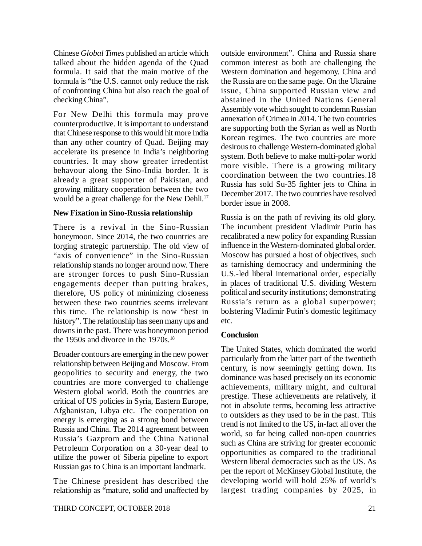Chinese *Global Times* published an article which talked about the hidden agenda of the Quad formula. It said that the main motive of the formula is "the U.S. cannot only reduce the risk of confronting China but also reach the goal of checking China".

For New Delhi this formula may prove counterproductive. It is important to understand that Chinese response to this would hit more India than any other country of Quad. Beijing may accelerate its presence in India's neighboring countries. It may show greater irredentist behavour along the Sino-India border. It is already a great supporter of Pakistan, and growing military cooperation between the two would be a great challenge for the New Dehli.<sup>17</sup>

#### **New Fixation in Sino-Russia relationship**

There is a revival in the Sino-Russian honeymoon. Since 2014, the two countries are forging strategic partnership. The old view of "axis of convenience" in the Sino-Russian relationship stands no longer around now. There are stronger forces to push Sino-Russian engagements deeper than putting brakes, therefore, US policy of minimizing closeness between these two countries seems irrelevant this time. The relationship is now "best in history". The relationship has seen many ups and downs in the past. There was honeymoon period the 1950s and divorce in the 1970s.<sup>18</sup>

Broader contours are emerging in the new power relationship between Beijing and Moscow. From geopolitics to security and energy, the two countries are more converged to challenge Western global world. Both the countries are critical of US policies in Syria, Eastern Europe, Afghanistan, Libya etc. The cooperation on energy is emerging as a strong bond between Russia and China. The 2014 agreement between Russia's Gazprom and the China National Petroleum Corporation on a 30-year deal to utilize the power of Siberia pipeline to export Russian gas to China is an important landmark.

The Chinese president has described the relationship as "mature, solid and unaffected by outside environment". China and Russia share common interest as both are challenging the Western domination and hegemony. China and the Russia are on the same page. On the Ukraine issue, China supported Russian view and abstained in the United Nations General Assembly vote which sought to condemn Russian annexation of Crimea in 2014. The two countries are supporting both the Syrian as well as North Korean regimes. The two countries are more desirous to challenge Western-dominated global system. Both believe to make multi-polar world more visible. There is a growing military coordination between the two countries.18 Russia has sold Su-35 fighter jets to China in December 2017. The two countries have resolved border issue in 2008.

Russia is on the path of reviving its old glory. The incumbent president Vladimir Putin has recalibrated a new policy for expanding Russian influence in the Western-dominated global order. Moscow has pursued a host of objectives, such as tarnishing democracy and undermining the U.S.-led liberal international order, especially in places of traditional U.S. dividing Western political and security institutions; demonstrating Russia's return as a global superpower; bolstering Vladimir Putin's domestic legitimacy etc.

### **Conclusion**

The United States, which dominated the world particularly from the latter part of the twentieth century, is now seemingly getting down. Its dominance was based precisely on its economic achievements, military might, and cultural prestige. These achievements are relatively, if not in absolute terms, becoming less attractive to outsiders as they used to be in the past. This trend is not limited to the US, in-fact all over the world, so far being called non-open countries such as China are striving for greater economic opportunities as compared to the traditional Western liberal democracies such as the US. As per the report of McKinsey Global Institute, the developing world will hold 25% of world's largest trading companies by 2025, in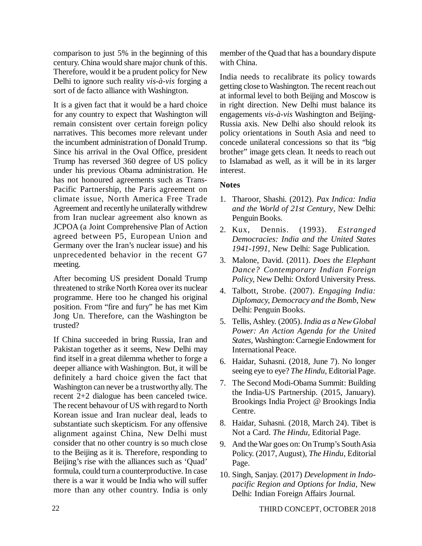comparison to just 5% in the beginning of this century. China would share major chunk of this. Therefore, would it be a prudent policy for New Delhi to ignore such reality *vis-à-vis* forging a sort of de facto alliance with Washington.

It is a given fact that it would be a hard choice for any country to expect that Washington will remain consistent over certain foreign policy narratives. This becomes more relevant under the incumbent administration of Donald Trump. Since his arrival in the Oval Office, president Trump has reversed 360 degree of US policy under his previous Obama administration. He has not honoured agreements such as Trans-Pacific Partnership, the Paris agreement on climate issue, North America Free Trade Agreement and recently he unilaterally withdrew from Iran nuclear agreement also known as JCPOA (a Joint Comprehensive Plan of Action agreed between P5, European Union and Germany over the Iran's nuclear issue) and his unprecedented behavior in the recent G7 meeting.

After becoming US president Donald Trump threatened to strike North Korea over its nuclear programme. Here too he changed his original position. From "fire and fury" he has met Kim Jong Un. Therefore, can the Washington be trusted?

If China succeeded in bring Russia, Iran and Pakistan together as it seems, New Delhi may find itself in a great dilemma whether to forge a deeper alliance with Washington. But, it will be definitely a hard choice given the fact that Washington can never be a trustworthy ally. The recent 2+2 dialogue has been canceled twice. The recent behavour of US with regard to North Korean issue and Iran nuclear deal, leads to substantiate such skepticism. For any offensive alignment against China, New Delhi must consider that no other country is so much close to the Beijing as it is. Therefore, responding to Beijing's rise with the alliances such as 'Quad' formula, could turn a counterproductive. In case there is a war it would be India who will suffer more than any other country. India is only member of the Quad that has a boundary dispute with China.

India needs to recalibrate its policy towards getting close to Washington. The recent reach out at informal level to both Beijing and Moscow is in right direction. New Delhi must balance its engagements *vis-à-vis* Washington and Beijing-Russia axis. New Delhi also should relook its policy orientations in South Asia and need to concede unilateral concessions so that its "big brother" image gets clean. It needs to reach out to Islamabad as well, as it will be in its larger interest.

### **Notes**

- 1. Tharoor, Shashi. (2012). *Pax Indica: India and the World of 21st Century*, New Delhi: Penguin Books.
- 2. Kux, Dennis. (1993). *Estranged Democracies: India and the United States 1941-1991,* New Delhi: Sage Publication.
- 3. Malone, David. (2011). *Does the Elephant Dance? Contemporary Indian Foreign Policy,* New Delhi: Oxford University Press.
- 4. Talbott, Strobe. (2007). *Engaging India: Diplomacy, Democracy and the Bomb,* New Delhi: Penguin Books.
- 5. Tellis, Ashley. (2005). *India as a New Global Power: An Action Agenda for the United States,* Washington: Carnegie Endowment for International Peace.
- 6. Haidar, Suhasni. (2018, June 7). No longer seeing eye to eye? *The Hindu,* Editorial Page.
- 7. The Second Modi-Obama Summit: Building the India-US Partnership. (2015, January). Brookings India Project @ Brookings India Centre.
- 8. Haidar, Suhasni. (2018, March 24). Tibet is Not a Card. *The Hindu,* Editorial Page.
- 9. And the War goes on: On Trump's South Asia Policy. (2017, August), *The Hindu*, Editorial Page.
- 10. Singh, Sanjay. (2017) *Development in Indopacific Region and Options for India,* New Delhi: Indian Foreign Affairs Journal.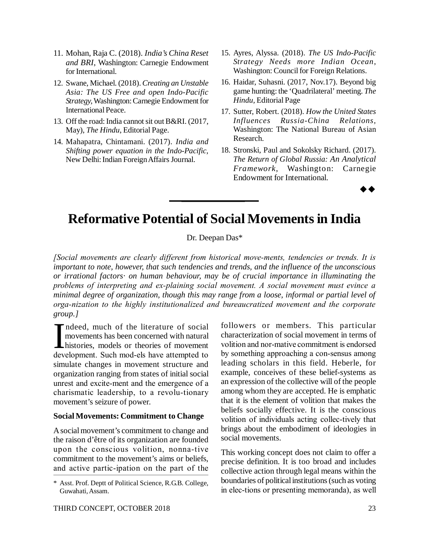- 11. Mohan, Raja C. (2018). *India's China Reset and BRI*, Washington: Carnegie Endowment for International.
- 12. Swane, Michael. (2018). *Creating an Unstable Asia: The US Free and open Indo-Pacific Strategy,* Washington: Carnegie Endowment for International Peace.
- 13. Off the road: India cannot sit out B&RI. (2017, May), *The Hindu*, Editorial Page.
- 14. Mahapatra, Chintamani. (2017). *India and Shifting power equation in the Indo-Pacific,* New Delhi: Indian Foreign Affairs Journal.
- 15. Ayres, Alyssa. (2018). *The US Indo-Pacific Strategy Needs more Indian Ocean*, Washington: Council for Foreign Relations.
- 16. Haidar, Suhasni. (2017, Nov.17). Beyond big game hunting: the 'Quadrilateral' meeting. *The Hindu,* Editorial Page
- 17. Sutter, Robert. (2018). *How the United States Influences Russia-China Relations,* Washington: The National Bureau of Asian Research.
- 18. Stronski, Paul and Sokolsky Richard. (2017). *The Return of Global Russia: An Analytical Framework*, Washington: Carnegie Endowment for International.

# **Reformative Potential of Social Movements in India**

Dr. Deepan Das\*

*[Social movements are clearly different from historical move-ments, tendencies or trends. It is important to note, however, that such tendencies and trends, and the influence of the unconscious or irrational factors· on human behaviour, may be of crucial importance in illuminating the* problems of interpreting and ex-plaining social movement. A social movement must evince a *minimal degree of organization, though this may range from a loose, informal or partial level of orga-nization to the highly institutionalized and bureaucratized movement and the corporate group.]*

I<br>dev ndeed, much of the literature of social movements has been concerned with natural histories, models or theories of movement development. Such mod-els have attempted to simulate changes in movement structure and organization ranging from states of initial social unrest and excite-ment and the emergence of a charismatic leadership, to a revolu-tionary movement's seizure of power.

#### **Social Movements: Commitment to Change**

A social movement's commitment to change and the raison d'être of its organization are founded upon the conscious volition, nonna-tive commitment to the movement's aims or beliefs, and active partic-ipation on the part of the followers or members. This particular characterization of social movement in terms of volition and nor-mative commitment is endorsed by something approaching a con-sensus among leading scholars in this field. Heberle, for example, conceives of these belief-systems as an expression of the collective will of the people among whom they are accepted. He is emphatic that it is the element of volition that makes the beliefs socially effective. It is the conscious volition of individuals acting collec-tively that brings about the embodiment of ideologies in social movements.

This working concept does not claim to offer a precise definition. It is too broad and includes collective action through legal means within the boundaries of political institutions (such as voting in elec-tions or presenting memoranda), as well

◆◆

<sup>\*</sup> Asst. Prof. Deptt of Political Science, R.G.B. College, Guwahati, Assam.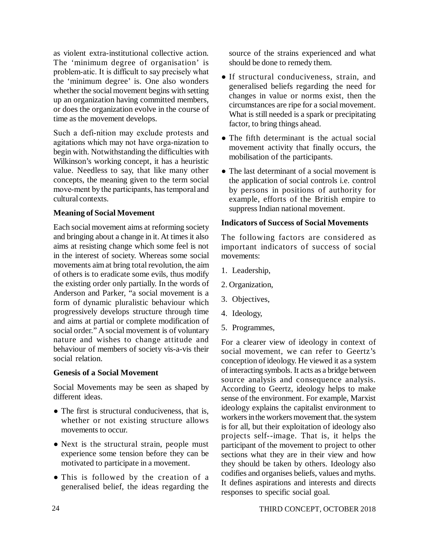as violent extra-institutional collective action. The 'minimum degree of organisation' is problem-atic. It is difficult to say precisely what the 'minimum degree' is. One also wonders whether the social movement begins with setting up an organization having committed members, or does the organization evolve in the course of time as the movement develops.

Such a defi-nition may exclude protests and agitations which may not have orga-nization to begin with. Notwithstanding the difficulties with Wilkinson's working concept, it has a heuristic value. Needless to say, that like many other concepts, the meaning given to the term social move-ment by the participants, has temporal and cultural contexts.

#### **Meaning of Social Movement**

Each social movement aims at reforming society and bringing about a change in it. At times it also aims at resisting change which some feel is not in the interest of society. Whereas some social movements aim at bring total revolution, the aim of others is to eradicate some evils, thus modify the existing order only partially. In the words of Anderson and Parker, "a social movement is a form of dynamic pluralistic behaviour which progressively develops structure through time and aims at partial or complete modification of social order." A social movement is of voluntary nature and wishes to change attitude and behaviour of members of society vis-a-vis their social relation.

#### **Genesis of a Social Movement**

Social Movements may be seen as shaped by different ideas.

- The first is structural conduciveness, that is, whether or not existing structure allows movements to occur.
- Next is the structural strain, people must experience some tension before they can be motivated to participate in a movement.
- This is followed by the creation of a generalised belief, the ideas regarding the

source of the strains experienced and what should be done to remedy them.

- If structural conduciveness, strain, and generalised beliefs regarding the need for changes in value or norms exist, then the circumstances are ripe for a social movement. What is still needed is a spark or precipitating factor, to bring things ahead.
- The fifth determinant is the actual social movement activity that finally occurs, the mobilisation of the participants.
- The last determinant of a social movement is the application of social controls i.e. control by persons in positions of authority for example, efforts of the British empire to suppress Indian national movement.

#### **Indicators of Success of Social Movements**

The following factors are considered as important indicators of success of social movements:

- 1. Leadership,
- 2. Organization,
- 3. Objectives,
- 4. Ideology,
- 5. Programmes,

For a clearer view of ideology in context of social movement, we can refer to Geertz's conception of ideology. He viewed it as a system of interacting symbols. It acts as a bridge between source analysis and consequence analysis. According to Geertz, ideology helps to make sense of the environment. For example, Marxist ideology explains the capitalist environment to workers in the workers movement that. the system is for all, but their exploitation of ideology also projects self--image. That is, it helps the participant of the movement to project to other sections what they are in their view and how they should be taken by others. Ideology also codifies and organises beliefs, values and myths. It defines aspirations and interests and directs responses to specific social goal.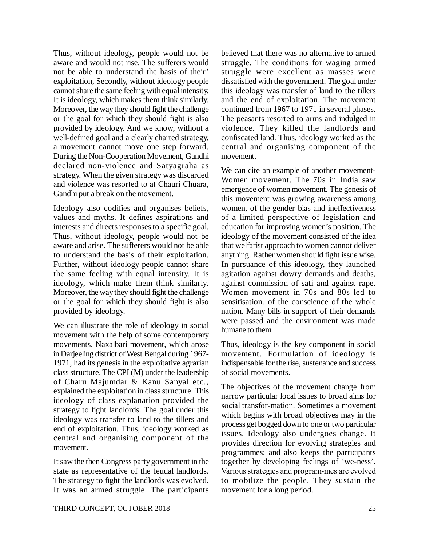Thus, without ideology, people would not be aware and would not rise. The sufferers would not be able to understand the basis of their' exploitation, Secondly, without ideology people cannot share the same feeling with equal intensity. It is ideology, which makes them think similarly. Moreover, the way they should fight the challenge or the goal for which they should fight is also provided by ideology. And we know, without a well-defined goal and a clearly charted strategy, a movement cannot move one step forward. During the Non-Cooperation Movement, Gandhi declared non-violence and Satyagraha as strategy. When the given strategy was discarded and violence was resorted to at Chauri-Chuara, Gandhi put a break on the movement.

Ideology also codifies and organises beliefs, values and myths. It defines aspirations and interests and directs responses to a specific goal. Thus, without ideology, people would not be aware and arise. The sufferers would not be able to understand the basis of their exploitation. Further, without ideology people cannot share the same feeling with equal intensity. It is ideology, which make them think similarly. Moreover, the way they should fight the challenge or the goal for which they should fight is also provided by ideology.

We can illustrate the role of ideology in social movement with the help of some contemporary movements. Naxalbari movement, which arose in Darjeeling district of West Bengal during 1967- 1971, had its genesis in the exploitative agrarian class structure. The CPI (M) under the leadership of Charu Majumdar & Kanu Sanyal etc., explained the exploitation in class structure. This ideology of class explanation provided the strategy to fight landlords. The goal under this ideology was transfer to land to the tillers and end of exploitation. Thus, ideology worked as central and organising component of the movement.

It saw the then Congress party government in the state as representative of the feudal landlords. The strategy to fight the landlords was evolved. It was an armed struggle. The participants

believed that there was no alternative to armed struggle. The conditions for waging armed struggle were excellent as masses were dissatisfied with the government. The goal under this ideology was transfer of land to the tillers and the end of exploitation. The movement continued from 1967 to 1971 in several phases. The peasants resorted to arms and indulged in violence. They killed the landlords and confiscated land. Thus, ideology worked as the central and organising component of the movement.

We can cite an example of another movement-Women movement. The 70s in India saw emergence of women movement. The genesis of this movement was growing awareness among women, of the gender bias and ineffectiveness of a limited perspective of legislation and education for improving women's position. The ideology of the movement consisted of the idea that welfarist approach to women cannot deliver anything. Rather women should fight issue wise. In pursuance of this ideology, they launched agitation against dowry demands and deaths, against commission of sati and against rape. Women movement in 70s and 80s led to sensitisation. of the conscience of the whole nation. Many bills in support of their demands were passed and the environment was made humane to them.

Thus, ideology is the key component in social movement. Formulation of ideology is indispensable for the rise, sustenance and success of social movements.

The objectives of the movement change from narrow particular local issues to broad aims for social transfor-mation. Sometimes a movement which begins with broad objectives may in the process get bogged down to one or two particular issues. Ideology also undergoes change. It provides direction for evolving strategies and programmes; and also keeps the participants together by developing feelings of 'we-ness'. Various strategies and program-mes are evolved to mobilize the people. They sustain the movement for a long period.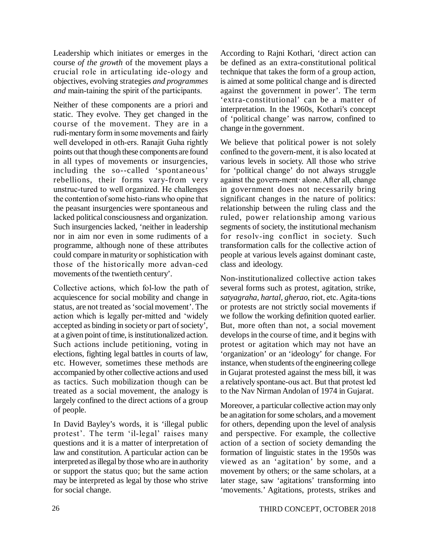Leadership which initiates or emerges in the course *of the growth* of the movement plays a crucial role in articulating ide-ology and objectives, evolving strategies *and programmes and* main-taining the spirit of the participants.

Neither of these components are a priori and static. They evolve. They get changed in the course of the movement. They are in a rudi-mentary form in some movements and fairly well developed in oth-ers. Ranajit Guha rightly points out that though these components are found in all types of movements or insurgencies, including the so--called 'spontaneous' rebellions, their forms vary-from very unstruc-tured to well organized. He challenges the contention of some histo-rians who opine that the peasant insurgencies were spontaneous and lacked political consciousness and organization. Such insurgencies lacked, 'neither in leadership nor in aim nor even in some rudiments of a programme, although none of these attributes could compare in maturity or sophistication with those of the historically more advan-ced movements of the twentieth century'.

Collective actions, which fol-low the path of acquiescence for social mobility and change in status, are not treated as 'social movement'. The action which is legally per-mitted and 'widely accepted as binding in society or part of society', at a given point of time, is institutionalized action. Such actions include petitioning, voting in elections, fighting legal battles in courts of law, etc. However, sometimes these methods are accompanied by other collective actions and used as tactics. Such mobilization though can be treated as a social movement, the analogy is largely confined to the direct actions of a group of people.

In David Bayley's words, it is 'illegal public protest'. The term 'il-legal' raises many questions and it is a matter of interpretation of law and constitution. A particular action can be interpreted as illegal by those who are in authority or support the status quo; but the same action may be interpreted as legal by those who strive for social change.

According to Rajni Kothari, 'direct action can be defined as an extra-constitutional political technique that takes the form of a group action, is aimed at some political change and is directed against the government in power'. The term 'extra-constitutional' can be a matter of interpretation. In the 1960s, Kothari's concept of 'political change' was narrow, confined to change in the government.

We believe that political power is not solely confined to the govern-ment, it is also located at various levels in society. All those who strive for 'political change' do not always struggle against the govern-ment $\cdot$  alone. After all, change in government does not necessarily bring significant changes in the nature of politics: relationship between the ruling class and the ruled, power relationship among various segments of society, the institutional mechanism for resolv-ing conflict in society. Such transformation calls for the collective action of people at various levels against dominant caste, class and ideology.

Non-institutionalized collective action takes several forms such as protest, agitation, strike, *satyagraha, hartal, gherao, riot, etc. Agita-tions* or protests are not strictly social movements if we follow the working definition quoted earlier. But, more often than not, a social movement develops in the course of time, and it begins with protest or agitation which may not have an 'organization' or an 'ideology' for change. For instance, when students of the engineering college in Gujarat protested against the mess bill, it was a relatively spontane-ous act. But that protest led to the Nav Nirman Andolan of 1974 in Gujarat.

Moreover, a particular collective action may only be an agitation for some scholars, and a movement for others, depending upon the level of analysis and perspective. For example, the collective action of a section of society demanding the formation of linguistic states in the 1950s was viewed as an 'agitation' by some, and a movement by others; or the same scholars, at a later stage, saw 'agitations' transforming into 'movements.' Agitations, protests, strikes and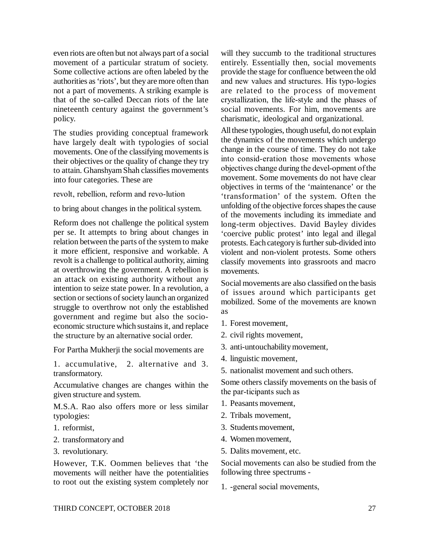even riots are often but not always part of a social movement of a particular stratum of society. Some collective actions are often labeled by the authorities as 'riots', but they are more often than not a part of movements. A striking example is that of the so-called Deccan riots of the late nineteenth century against the government's policy.

The studies providing conceptual framework have largely dealt with typologies of social movements. One of the classifying movements is their objectives or the quality of change they try to attain. Ghanshyam Shah classifies movements into four categories. These are

revolt, rebellion, reform and revo-lution

to bring about changes in the political system.

Reform does not challenge the political system per se. It attempts to bring about changes in relation between the parts of the system to make it more efficient, responsive and workable. A revolt is a challenge to political authority, aiming at overthrowing the government. A rebellion is an attack on existing authority without any intention to seize state power. In a revolution, a section or sections of society launch an organized struggle to overthrow not only the established government and regime but also the socioeconomic structure which sustains it, and replace the structure by an alternative social order.

For Partha Mukherji the social movements are

1. accumulative, 2. alternative and 3. transformatory.

Accumulative changes are changes within the given structure and system.

M.S.A. Rao also offers more or less similar typologies:

- 1. reformist,
- 2. transformatory and
- 3. revolutionary.

However, T.K. Oommen believes that 'the movements will neither have the potentialities to root out the existing system completely nor

will they succumb to the traditional structures entirely. Essentially then, social movements provide the stage for confluence between the old and new values and structures. His typo-logies are related to the process of movement crystallization, the life-style and the phases of social movements. For him, movements are charismatic, ideological and organizational.

All these typologies, though useful, do not explain the dynamics of the movements which undergo change in the course of time. They do not take into consid-eration those movements whose objectives change during the devel-opment of the movement. Some movements do not have clear objectives in terms of the 'maintenance' or the 'transformation' of the system. Often the unfolding of the objective forces shapes the cause of the movements including its immediate and long-term objectives. David Bayley divides 'coercive public protest' into legal and illegal protests. Each category is further sub-divided into violent and non-violent protests. Some others classify movements into grassroots and macro movements.

Social movements are also classified on the basis of issues around which participants get mobilized. Some of the movements are known as

- 1. Forest movement,
- 2. civil rights movement,
- 3. anti-untouchability movement,
- 4. linguistic movement,
- 5. nationalist movement and such others.

Some others classify movements on the basis of the par-ticipants such as

- 1. Peasants movement,
- 2. Tribals movement,
- 3. Students movement,
- 4. Women movement,
- 5. Dalits movement, etc.

Social movements can also be studied from the following three spectrums -

1. general social movements,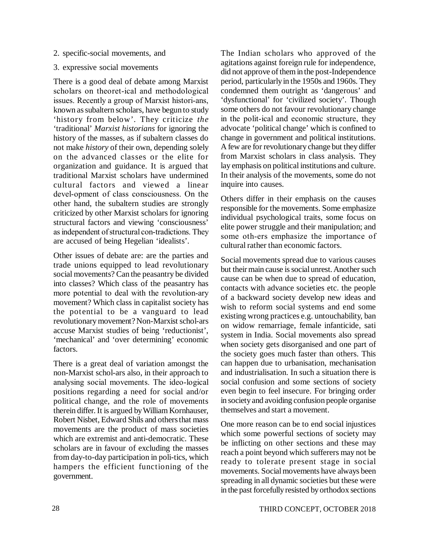- 2. specific-social movements, and
- 3. expressive social movements

There is a good deal of debate among Marxist scholars on theoret-ical and methodological issues. Recently a group of Marxist histori-ans, known as subaltern scholars, have begun to study 'history from below'*.* They criticize *the* 'traditional' *Marxist historians* for ignoring the history of the masses, as if subaltern classes do not make *history* of their own, depending solely on the advanced classes or the elite for organization and guidance. It is argued that traditional Marxist scholars have undermined cultural factors and viewed a linear devel-opment of class consciousness. On the other hand, the subaltern studies are strongly criticized by other Marxist scholars for ignoring structural factors and viewing 'consciousness' as independent of structural con-tradictions. They are accused of being Hegelian 'idealists'.

Other issues of debate are: are the parties and trade unions equipped to lead revolutionary social movements? Can the peasantry be divided into classes? Which class of the peasantry has more potential to deal with the revolution-ary movement? Which class in capitalist society has the potential to be a vanguard to lead revolutionary movement? Non-Marxist schol-ars accuse Marxist studies of being 'reductionist', 'mechanical' and 'over determining' economic factors.

There is a great deal of variation amongst the non-Marxist schol-ars also, in their approach to analysing social movements. The ideo-logical positions regarding a need for social and/or political change, and the role of movements therein differ. It is argued by William Kornhauser, Robert Nisbet, Edward Shils and others that mass movements are the product of mass societies which are extremist and anti-democratic. These scholars are in favour of excluding the masses from day-to-day participation in poli-tics, which hampers the efficient functioning of the government.

The Indian scholars who approved of the agitations against foreign rule for independence, did not approve of them in the post-Independence period, particularly in the 1950s and 1960s. They condemned them outright as 'dangerous' and 'dysfunctional' for 'civilized society'. Though some others do not favour revolutionary change in the polit-ical and economic structure, they advocate 'political change' which is confined to change in government and political institutions. A few are for revolutionary change but they differ from Marxist scholars in class analysis. They lay emphasis on political institutions and culture. In their analysis of the movements, some do not inquire into causes.

Others differ in their emphasis on the causes responsible for the movements. Some emphasize individual psychological traits, some focus on elite power struggle and their manipulation; and some oth-ers emphasize the importance of cultural rather than economic factors.

Social movements spread due to various causes but their main cause is social unrest. Another such cause can be when due to spread of education, contacts with advance societies etc. the people of a backward society develop new ideas and wish to reform social systems and end some existing wrong practices e.g. untouchability, ban on widow remarriage, female infanticide, sati system in India. Social movements also spread when society gets disorganised and one part of the society goes much faster than others. This can happen due to urbanisation, mechanisation and industrialisation. In such a situation there is social confusion and some sections of society even begin to feel insecure. For bringing order in society and avoiding confusion people organise themselves and start a movement.

One more reason can be to end social injustices which some powerful sections of society may be inflicting on other sections and these may reach a point beyond which sufferers may not be ready to tolerate present stage in social movements. Social movements have always been spreading in all dynamic societies but these were in the past forcefully resisted by orthodox sections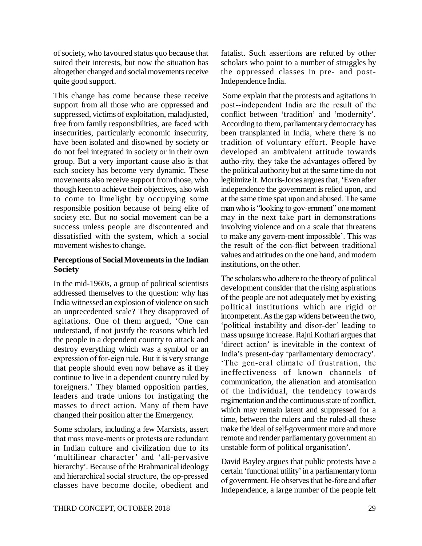of society, who favoured status quo because that suited their interests, but now the situation has altogether changed and social movements receive quite good support.

This change has come because these receive support from all those who are oppressed and suppressed, victims of exploitation, maladjusted, free from family responsibilities, are faced with insecurities, particularly economic insecurity, have been isolated and disowned by society or do not feel integrated in society or in their own group. But a very important cause also is that each society has become very dynamic. These movements also receive support from those, who though keen to achieve their objectives, also wish to come to limelight by occupying some responsible position because of being elite of society etc. But no social movement can be a success unless people are discontented and dissatisfied with the system, which a social movement wishes to change.

#### **Perceptions of Social Movements in the Indian Society**

In the mid-1960s, a group of political scientists addressed themselves to the question: why has India witnessed an explosion of violence on such an unprecedented scale? They disapproved of agitations. One of them argued, 'One can understand, if not justify the reasons which led the people in a dependent country to attack and destroy everything which was a symbol or an expression of for-eign rule. But it is very strange that people should even now behave as if they continue to live in a dependent country ruled by foreigners.' They blamed opposition parties, leaders and trade unions for instigating the masses to direct action. Many of them have changed their position after the Emergency.

Some scholars, including a few Marxists, assert that mass move-ments or protests are redundant in Indian culture and civilization due to its 'multilinear character' and 'all-pervasive hierarchy'. Because of the Brahmanical ideology and hierarchical social structure, the op-pressed classes have become docile, obedient and fatalist. Such assertions are refuted by other scholars who point to a number of struggles by the oppressed classes in pre- and post-Independence India.

 Some explain that the protests and agitations in post--independent India are the result of the conflict between 'tradition' and 'modernity'. According to them, parliamentary democracy has been transplanted in India, where there is no tradition of voluntary effort. People have developed an ambivalent attitude towards autho-rity, they take the advantages offered by the political authority but at the same time do not legitimize it. Morris-Jones argues that, 'Even after independence the government is relied upon, and at the same time spat upon and abused. The same man who is "looking to gov-ernment" one moment may in the next take part in demonstrations involving violence and on a scale that threatens to make any govern-ment impossible'. This was the result of the con-flict between traditional values and attitudes on the one hand, and modern institutions, on the other.

The scholars who adhere to the theory of political development consider that the rising aspirations of the people are not adequately met by existing political institutions which are rigid or incompetent. As the gap widens between the two, 'political instability and disor-der' leading to mass upsurge increase. Rajni Kothari argues that 'direct action' is inevitable in the context of India's present-day 'parliamentary democracy'. 'The gen-eral climate of frustration, the ineffectiveness of known channels of communication, the alienation and atomisation of the individual, the tendency towards regimentation and the continuous state of conflict, which may remain latent and suppressed for a time, between the rulers and the ruled-all these make the ideal of self-government more and more remote and render parliamentary government an unstable form of political organisation'.

David Bayley argues that public protests have a certain 'functional utility' in a parliamentary form of government. He observes that be-fore and after Independence, a large number of the people felt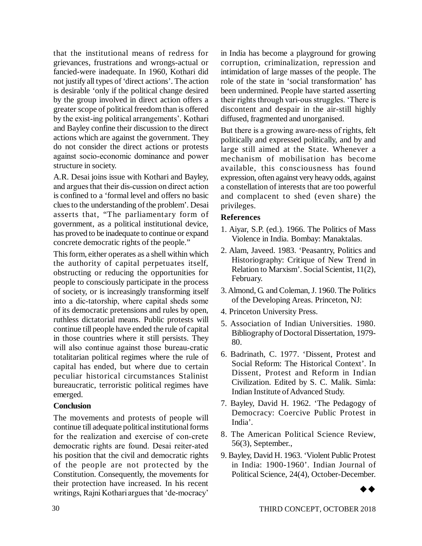that the institutional means of redress for grievances, frustrations and wrongs-actual or fancied-were inadequate. In 1960, Kothari did not justify all types of 'direct actions'. The action is desirable 'only if the political change desired by the group involved in direct action offers a greater scope of political freedom than is offered by the exist-ing political arrangements'. Kothari and Bayley confine their discussion to the direct actions which are against the government. They do not consider the direct actions or protests against socio-economic dominance and power structure in society.

A.R. Desai joins issue with Kothari and Bayley, and argues that their dis-cussion on direct action is confined to a 'formal level and offers no basic clues to the understanding of the problem'. Desai asserts that, "The parliamentary form of government, as a political institutional device, has proved to be inadequate to continue or expand concrete democratic rights of the people."

This form, either operates as a shell within which the authority of capital perpetuates itself, obstructing or reducing the opportunities for people to consciously participate in the process of society, or is increasingly transforming itself into a dic-tatorship, where capital sheds some of its democratic pretensions and rules by open, ruthless dictatorial means. Public protests will continue till people have ended the rule of capital in those countries where it still persists. They will also continue against those bureau-cratic totalitarian political regimes where the rule of capital has ended, but where due to certain peculiar historical circumstances Stalinist bureaucratic, terroristic political regimes have emerged.

#### **Conclusion**

The movements and protests of people will continue till adequate political institutional forms for the realization and exercise of con-crete democratic rights are found. Desai reiter-ated his position that the civil and democratic rights of the people are not protected by the Constitution. Consequently, the movements for their protection have increased. In his recent writings, Rajni Kothari argues that 'de-mocracy'

in India has become a playground for growing corruption, criminalization, repression and intimidation of large masses of the people. The role of the state in 'social transformation' has been undermined. People have started asserting their rights through vari-ous struggles. 'There is discontent and despair in the air-still highly diffused, fragmented and unorganised.

But there is a growing aware-ness of rights, felt politically and expressed politically, and by and large still aimed at the State. Whenever a mechanism of mobilisation has become available, this consciousness has found expression, often against very heavy odds, against a constellation of interests that are too powerful and complacent to shed (even share) the privileges.

#### **References**

- 1. Aiyar, S.P. (ed.). 1966. The Politics of Mass Violence in India. Bombay: Manaktalas.
- 2. Alam, Javeed. 1983. 'Peasantry, Politics and Historiography: Critique of New Trend in Relation to Marxism'. Social Scientist, 11(2), February.
- 3. Almond, G. and Coleman, J. 1960. The Politics of the Developing Areas. Princeton, NJ:
- 4. Princeton University Press.
- 5. Association of Indian Universities. 1980. Bibliography of Doctoral Dissertation, 1979- 80.
- 6. Badrinath, C. 1977. 'Dissent, Protest and Social Reform: The Historical Context'. In Dissent, Protest and Reform in Indian Civilization. Edited by S. C. Malik. Simla: Indian Institute of Advanced Study.
- 7. Bayley, David H. 1962. 'The Pedagogy of Democracy: Coercive Public Protest in India'.
- 8. The American Political Science Review, 56(3), September.,
- 9. Bayley, David H. 1963. 'Violent Public Protest in India: 1900-1960'. Indian Journal of Political Science, 24(4), October-December.

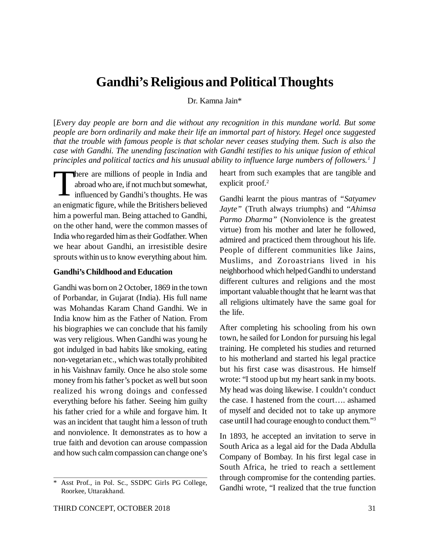# **Gandhi's Religious and Political Thoughts**

Dr. Kamna Jain\*

[*Every day people are born and die without any recognition in this mundane world. But some people are born ordinarily and make their life an immortal part of history. Hegel once suggested that the trouble with famous people is that scholar never ceases studying them. Such is also the case with Gandhi. The unending fascination with Gandhi testifies to his unique fusion of ethical principles and political tactics and his unusual ability to influence large numbers of followers.<sup>1</sup> ]*

There are millions of people in India and<br>abroad who are, if not much but somewhat,<br>influenced by Gandhi's thoughts. He was here are millions of people in India and abroad who are, if not much but somewhat, an enigmatic figure, while the Britishers believed him a powerful man. Being attached to Gandhi, on the other hand, were the common masses of India who regarded him as their Godfather. When we hear about Gandhi, an irresistible desire sprouts within us to know everything about him.

#### **Gandhi's Childhood and Education**

Gandhi was born on 2 October, 1869 in the town of Porbandar, in Gujarat (India). His full name was Mohandas Karam Chand Gandhi. We in India know him as the Father of Nation. From his biographies we can conclude that his family was very religious. When Gandhi was young he got indulged in bad habits like smoking, eating non-vegetarian etc., which was totally prohibited in his Vaishnav family. Once he also stole some money from his father's pocket as well but soon realized his wrong doings and confessed everything before his father. Seeing him guilty his father cried for a while and forgave him. It was an incident that taught him a lesson of truth and nonviolence. It demonstrates as to how a true faith and devotion can arouse compassion and how such calm compassion can change one's heart from such examples that are tangible and explicit proof.<sup>2</sup>

Gandhi learnt the pious mantras of *"Satyamev Jayte"* (Truth always triumphs) and "*Ahimsa Parmo Dharma"* (Nonviolence is the greatest virtue) from his mother and later he followed, admired and practiced them throughout his life. People of different communities like Jains, Muslims, and Zoroastrians lived in his neighborhood which helped Gandhi to understand different cultures and religions and the most important valuable thought that he learnt was that all religions ultimately have the same goal for the life.

After completing his schooling from his own town, he sailed for London for pursuing his legal training. He completed his studies and returned to his motherland and started his legal practice but his first case was disastrous. He himself wrote: "I stood up but my heart sank in my boots. My head was doing likewise. I couldn't conduct the case. I hastened from the court…. ashamed of myself and decided not to take up anymore case until I had courage enough to conduct them."<sup>3</sup>

In 1893, he accepted an invitation to serve in South Arica as a legal aid for the Dada Abdulla Company of Bombay. In his first legal case in South Africa, he tried to reach a settlement through compromise for the contending parties. Gandhi wrote, "I realized that the true function

<sup>\*</sup> Asst Prof., in Pol. Sc., SSDPC Girls PG College, Roorkee, Uttarakhand.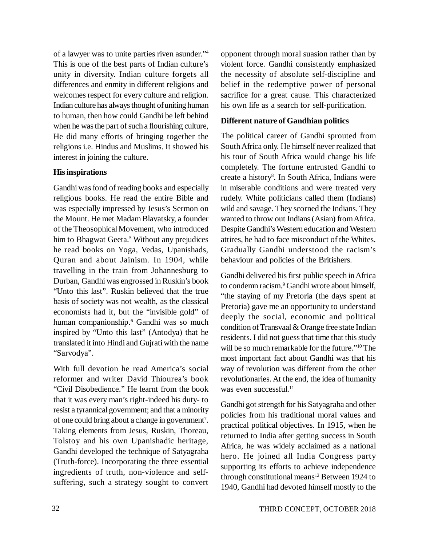of a lawyer was to unite parties riven asunder."<sup>4</sup> This is one of the best parts of Indian culture's unity in diversity. Indian culture forgets all differences and enmity in different religions and welcomes respect for every culture and religion. Indian culture has always thought of uniting human to human, then how could Gandhi be left behind when he was the part of such a flourishing culture, He did many efforts of bringing together the religions i.e. Hindus and Muslims. It showed his interest in joining the culture.

#### **His inspirations**

Gandhi was fond of reading books and especially religious books. He read the entire Bible and was especially impressed by Jesus's Sermon on the Mount. He met Madam Blavatsky, a founder of the Theosophical Movement, who introduced him to Bhagwat Geeta.<sup>5</sup> Without any prejudices he read books on Yoga, Vedas, Upanishads, Quran and about Jainism. In 1904, while travelling in the train from Johannesburg to Durban, Gandhi was engrossed in Ruskin's book "Unto this last". Ruskin believed that the true basis of society was not wealth, as the classical economists had it, but the "invisible gold" of human companionship.<sup>6</sup> Gandhi was so much inspired by "Unto this last" (Antodya) that he translated it into Hindi and Gujrati with the name "Sarvodya".

With full devotion he read America's social reformer and writer David Thiourea's book "Civil Disobedience." He learnt from the book that it was every man's right-indeed his duty- to resist a tyrannical government; and that a minority of one could bring about a change in government<sup>7</sup>. Taking elements from Jesus, Ruskin, Thoreau, Tolstoy and his own Upanishadic heritage, Gandhi developed the technique of Satyagraha (Truth-force). Incorporating the three essential ingredients of truth, non-violence and selfsuffering, such a strategy sought to convert

opponent through moral suasion rather than by violent force. Gandhi consistently emphasized the necessity of absolute self-discipline and belief in the redemptive power of personal sacrifice for a great cause. This characterized his own life as a search for self-purification.

#### **Different nature of Gandhian politics**

The political career of Gandhi sprouted from South Africa only. He himself never realized that his tour of South Africa would change his life completely. The fortune entrusted Gandhi to create a history<sup>8</sup>. In South Africa, Indians were in miserable conditions and were treated very rudely. White politicians called them (Indians) wild and savage. They scorned the Indians. They wanted to throw out Indians (Asian) from Africa. Despite Gandhi's Western education and Western attires, he had to face misconduct of the Whites. Gradually Gandhi understood the racism's behaviour and policies of the Britishers.

Gandhi delivered his first public speech in Africa to condemn racism.<sup>9</sup> Gandhi wrote about himself, "the staying of my Pretoria (the days spent at Pretoria) gave me an opportunity to understand deeply the social, economic and political condition of Transvaal & Orange free state Indian residents. I did not guess that time that this study will be so much remarkable for the future."<sup>10</sup> The most important fact about Gandhi was that his way of revolution was different from the other revolutionaries. At the end, the idea of humanity was even successful.<sup>11</sup>

Gandhi got strength for his Satyagraha and other policies from his traditional moral values and practical political objectives. In 1915, when he returned to India after getting success in South Africa, he was widely acclaimed as a national hero. He joined all India Congress party supporting its efforts to achieve independence through constitutional means<sup>12</sup> Between 1924 to 1940, Gandhi had devoted himself mostly to the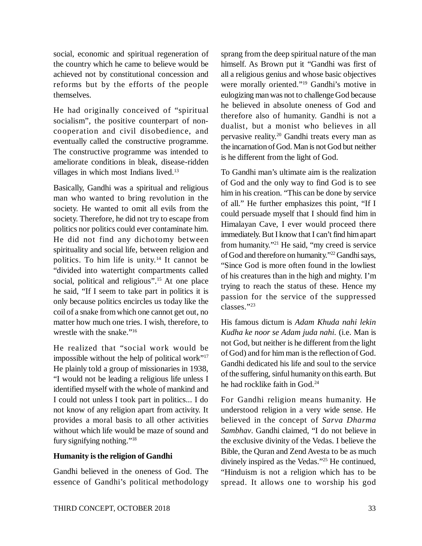social, economic and spiritual regeneration of the country which he came to believe would be achieved not by constitutional concession and reforms but by the efforts of the people themselves.

He had originally conceived of "spiritual socialism", the positive counterpart of noncooperation and civil disobedience, and eventually called the constructive programme. The constructive programme was intended to ameliorate conditions in bleak, disease-ridden villages in which most Indians lived.<sup>13</sup>

Basically, Gandhi was a spiritual and religious man who wanted to bring revolution in the society. He wanted to omit all evils from the society. Therefore, he did not try to escape from politics nor politics could ever contaminate him. He did not find any dichotomy between spirituality and social life, between religion and politics. To him life is unity.<sup>14</sup> It cannot be "divided into watertight compartments called social, political and religious".<sup>15</sup> At one place he said, "If I seem to take part in politics it is only because politics encircles us today like the coil of a snake from which one cannot get out, no matter how much one tries. I wish, therefore, to wrestle with the snake."<sup>16</sup>

He realized that "social work would be impossible without the help of political work"<sup>17</sup> He plainly told a group of missionaries in 1938, "I would not be leading a religious life unless I identified myself with the whole of mankind and I could not unless I took part in politics... I do not know of any religion apart from activity. It provides a moral basis to all other activities without which life would be maze of sound and fury signifying nothing."<sup>18</sup>

#### **Humanity is the religion of Gandhi**

Gandhi believed in the oneness of God. The essence of Gandhi's political methodology sprang from the deep spiritual nature of the man himself. As Brown put it "Gandhi was first of all a religious genius and whose basic objectives were morally oriented."<sup>19</sup> Gandhi's motive in eulogizing man was not to challenge God because he believed in absolute oneness of God and therefore also of humanity. Gandhi is not a dualist, but a monist who believes in all pervasive reality.<sup>20</sup> Gandhi treats every man as the incarnation of God. Man is not God but neither is he different from the light of God.

To Gandhi man's ultimate aim is the realization of God and the only way to find God is to see him in his creation. "This can be done by service of all." He further emphasizes this point, "If I could persuade myself that I should find him in Himalayan Cave, I ever would proceed there immediately. But I know that I can't find him apart from humanity."<sup>21</sup> He said, "my creed is service of God and therefore on humanity."<sup>22</sup> Gandhi says, "Since God is more often found in the lowliest of his creatures than in the high and mighty. I'm trying to reach the status of these. Hence my passion for the service of the suppressed classes."<sup>23</sup>

His famous dictum is *Adam Khuda nahi lekin Kudha ke noor se Adam juda nahi.* (i.e. Man is not God, but neither is he different from the light of God) and for him man is the reflection of God. Gandhi dedicated his life and soul to the service of the suffering, sinful humanity on this earth. But he had rocklike faith in God.<sup>24</sup>

For Gandhi religion means humanity. He understood religion in a very wide sense. He believed in the concept of *Sarva Dharma Sambhav*. Gandhi claimed, "I do not believe in the exclusive divinity of the Vedas. I believe the Bible, the Quran and Zend Avesta to be as much divinely inspired as the Vedas."<sup>25</sup> He continued, "Hinduism is not a religion which has to be spread. It allows one to worship his god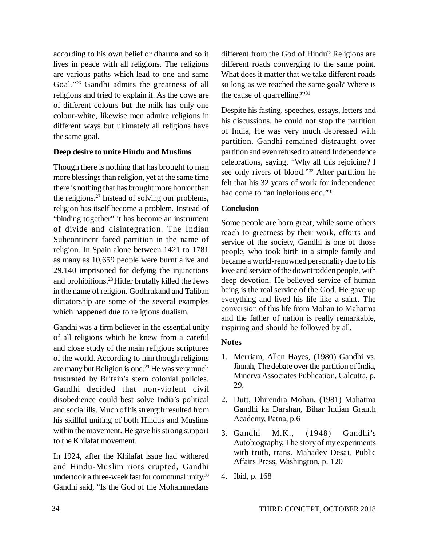according to his own belief or dharma and so it lives in peace with all religions. The religions are various paths which lead to one and same Goal."<sup>26</sup> Gandhi admits the greatness of all religions and tried to explain it. As the cows are of different colours but the milk has only one colour-white, likewise men admire religions in different ways but ultimately all religions have the same goal.

### **Deep desire to unite Hindu and Muslims**

Though there is nothing that has brought to man more blessings than religion, yet at the same time there is nothing that has brought more horror than the religions.<sup>27</sup> Instead of solving our problems, religion has itself become a problem. Instead of "binding together" it has become an instrument of divide and disintegration. The Indian Subcontinent faced partition in the name of religion. In Spain alone between 1421 to 1781 as many as 10,659 people were burnt alive and 29,140 imprisoned for defying the injunctions and prohibitions.<sup>28</sup>Hitler brutally killed the Jews in the name of religion. Godhrakand and Taliban dictatorship are some of the several examples which happened due to religious dualism.

Gandhi was a firm believer in the essential unity of all religions which he knew from a careful and close study of the main religious scriptures of the world. According to him though religions are many but Religion is one.<sup>29</sup> He was very much frustrated by Britain's stern colonial policies. Gandhi decided that non-violent civil disobedience could best solve India's political and social ills. Much of his strength resulted from his skillful uniting of both Hindus and Muslims within the movement. He gave his strong support to the Khilafat movement.

In 1924, after the Khilafat issue had withered and Hindu-Muslim riots erupted, Gandhi undertook a three-week fast for communal unity.<sup>30</sup> Gandhi said, "Is the God of the Mohammedans

different from the God of Hindu? Religions are different roads converging to the same point. What does it matter that we take different roads so long as we reached the same goal? Where is the cause of quarrelling?"<sup>31</sup>

Despite his fasting, speeches, essays, letters and his discussions, he could not stop the partition of India, He was very much depressed with partition. Gandhi remained distraught over partition and even refused to attend Independence celebrations, saying, "Why all this rejoicing? I see only rivers of blood."<sup>32</sup> After partition he felt that his 32 years of work for independence had come to "an inglorious end."<sup>33</sup>

### **Conclusion**

Some people are born great, while some others reach to greatness by their work, efforts and service of the society, Gandhi is one of those people, who took birth in a simple family and became a world-renowned personality due to his love and service of the downtrodden people, with deep devotion. He believed service of human being is the real service of the God. He gave up everything and lived his life like a saint. The conversion of this life from Mohan to Mahatma and the father of nation is really remarkable, inspiring and should be followed by all.

### **Notes**

- 1. Merriam, Allen Hayes, (1980) Gandhi vs. Jinnah, The debate over the partition of India, Minerva Associates Publication, Calcutta, p. 29.
- 2. Dutt, Dhirendra Mohan, (1981) Mahatma Gandhi ka Darshan, Bihar Indian Granth Academy, Patna, p.6
- 3. Gandhi M.K., (1948) Gandhi's Autobiography, The story of my experiments with truth, trans. Mahadev Desai, Public Affairs Press, Washington, p. 120
- 4. Ibid, p. 168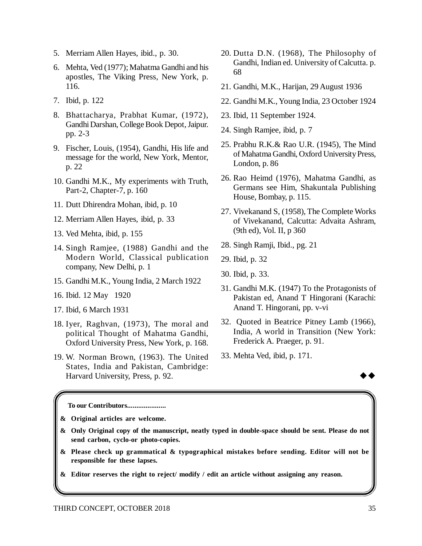- 5. Merriam Allen Hayes, ibid., p. 30.
- 6. Mehta, Ved (1977); Mahatma Gandhi and his apostles, The Viking Press, New York, p. 116.
- 7. Ibid, p. 122
- 8. Bhattacharya, Prabhat Kumar, (1972), Gandhi Darshan, College Book Depot, Jaipur. pp. 2-3
- 9. Fischer, Louis, (1954), Gandhi, His life and message for the world, New York, Mentor, p. 22
- 10. Gandhi M.K., My experiments with Truth, Part-2, Chapter-7, p. 160
- 11. Dutt Dhirendra Mohan, ibid, p. 10
- 12. Merriam Allen Hayes, ibid, p. 33
- 13. Ved Mehta, ibid, p. 155
- 14. Singh Ramjee, (1988) Gandhi and the Modern World, Classical publication company, New Delhi, p. 1
- 15. Gandhi M.K., Young India, 2 March 1922
- 16. Ibid. 12 May 1920
- 17. Ibid, 6 March 1931
- 18. Iyer, Raghvan, (1973), The moral and political Thought of Mahatma Gandhi, Oxford University Press, New York, p. 168.
- 19. W. Norman Brown, (1963). The United States, India and Pakistan, Cambridge: Harvard University, Press, p. 92.
- 20. Dutta D.N. (1968), The Philosophy of Gandhi, Indian ed. University of Calcutta. p. 68
- 21. Gandhi, M.K., Harijan, 29 August 1936
- 22. Gandhi M.K., Young India, 23 October 1924
- 23. Ibid, 11 September 1924.
- 24. Singh Ramjee, ibid, p. 7
- 25. Prabhu R.K.& Rao U.R. (1945), The Mind of Mahatma Gandhi, Oxford University Press, London, p. 86
- 26. Rao Heimd (1976), Mahatma Gandhi, as Germans see Him, Shakuntala Publishing House, Bombay, p. 115.
- 27. Vivekanand S, (1958), The Complete Works of Vivekanand, Calcutta: Advaita Ashram, (9th ed), Vol. II, p 360
- 28. Singh Ramji, Ibid., pg. 21
- 29. Ibid, p. 32
- 30. Ibid, p. 33.
- 31. Gandhi M.K. (1947) To the Protagonists of Pakistan ed, Anand T Hingorani (Karachi: Anand T. Hingorani, pp. v-vi
- 32. Quoted in Beatrice Pitney Lamb (1966), India, A world in Transition (New York: Frederick A. Praeger, p. 91.
- 33. Mehta Ved, ibid, p. 171.



**To our Contributors.....................**

**& Original articles are welcome.**

- **& Only Original copy of the manuscript, neatly typed in double-space should be sent. Please do not send carbon, cyclo-or photo-copies.**
- **& Please check up grammatical & typographical mistakes before sending. Editor will not be responsible for these lapses.**
- **& Editor reserves the right to reject/ modify / edit an article without assigning any reason.**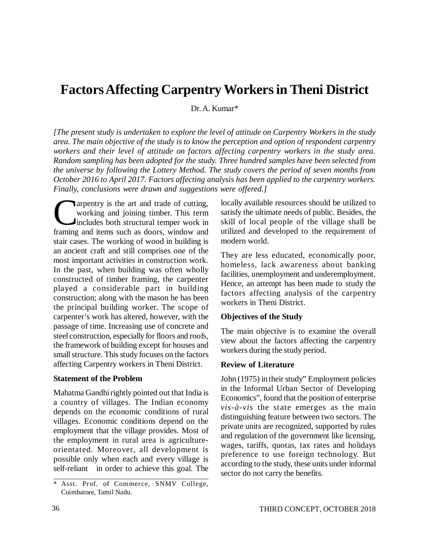# **Factors Affecting Carpentry Workers in Theni District**

Dr. A. Kumar\*

*[The present study is undertaken to explore the level of attitude on Carpentry Workers in the study area. The main objective of the study is to know the perception and option of respondent carpentry workers and their level of attitude on factors affecting carpentry workers in the study area. Random sampling has been adopted for the study. Three hundred samples have been selected from the universe by following the Lottery Method. The study covers the period of seven months from October 2016 to April 2017. Factors affecting analysis has been applied to the carpentry workers. Finally, conclusions were drawn and suggestions were offered.]*

Carpentry is the art and trade of cutting, working and joining timber. This term<br>includes both structural temper work in<br>framing and items such as doors, window and arpentry is the art and trade of cutting, working and joining timber. This term includes both structural temper work in stair cases. The working of wood in building is an ancient craft and still comprises one of the most important activities in construction work. In the past, when building was often wholly constructed of timber framing, the carpenter played a considerable part in building construction; along with the mason he has been the principal building worker. The scope of carpenter's work has altered, however, with the passage of time. Increasing use of concrete and steel construction, especially for floors and roofs, the framework of building except for houses and small structure. This study focuses on the factors affecting Carpentry workers in Theni District.

#### **Statement of the Problem**

Mahatma Gandhi rightly pointed out that India is a country of villages. The Indian economy depends on the economic conditions of rural villages. Economic conditions depend on the employment that the village provides. Most of the employment in rural area is agricultureorientated. Moreover, all development is possible only when each and every village is self-reliant in order to achieve this goal. The locally available resources should be utilized to satisfy the ultimate needs of public. Besides, the skill of local people of the village shall be utilized and developed to the requirement of modern world.

They are less educated, economically poor, homeless, lack awareness about banking facilities, unemployment and underemployment. Hence, an attempt has been made to study the factors affecting analysis of the carpentry workers in Theni District.

#### **Objectives of the Study**

The main objective is to examine the overall view about the factors affecting the carpentry workers during the study period.

#### **Review of Literature**

John (1975) in their study" Employment policies in the Informal Urban Sector of Developing Economics", found that the position of enterprise *vis-à-vis* the state emerges as the main distinguishing feature between two sectors. The private units are recognized, supported by rules and regulation of the government like licensing, wages, tariffs, quotas, tax rates and holidays preference to use foreign technology. But according to the study, these units under informal sector do not carry the benefits.

<sup>\*</sup> Asst. Prof. of Commerce, SNMV College, Coimbatore, Tamil Nadu.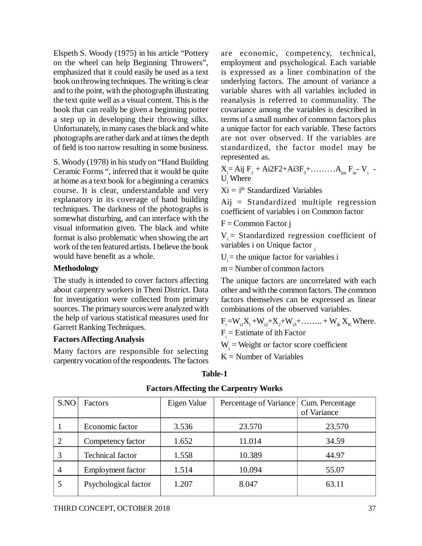Elspeth S. Woody (1975) in his article "Pottery on the wheel can help Beginning Throwers", emphasized that it could easily be used as a text book on throwing techniques. The writing is clear and to the point, with the photographs illustrating the text quite well as a visual content. This is the book that can really be given a beginning potter a step up in developing their throwing silks. Unfortunately, in many cases the black and white photographs are rather dark and at times the depth of field is too narrow resulting in some business.

S. Woody (1978) in his study on "Hand Building Ceramic Forms ", inferred that it would be quite at home as a text book for a beginning a ceramics course. It is clear, understandable and very explanatory in its coverage of hand building techniques. The darkness of the photographs is somewhat disturbing, and can interface with the visual information given. The black and white format is also problematic when showing the art work of the ten featured artists. I believe the book would have benefit as a whole.

### **Methodology**

The study is intended to cover factors affecting about carpentry workers in Theni District. Data for investigation were collected from primary sources. The primary sources were analyzed with the help of various statistical measures used for Garrett Ranking Techniques.

#### **Factors Affecting Analysis**

Many factors are responsible for selecting carpentry vocation of the respondents. The factors are economic, competency, technical, employment and psychological. Each variable is expressed as a liner combination of the underlying factors. The amount of variance a variable shares with all variables included in reanalysis is referred to communality. The covariance among the variables is described in terms of a small number of common factors plus a unique factor for each variable. These factors are not over observed. If the variables are standardized, the factor model may be represented as.

 $X_i = Aij F_1 + Ai2F2 + Ai3F_3 + \dots + A_{im} F_{in} - V_i$  $U_i$  Where

 $Xi = i<sup>th</sup> Standardized Variables$ 

Aij = Standardized multiple regression coefficient of variables i on Common factor

 $F =$ Common Factor j

 $V_i$  = Standardized regression coefficient of variables i on Unique factor <sub>j</sub>

 $U_i$  = the unique factor for variables i

m = Number of common factors

The unique factors are uncorrelated with each other and with the common factors. The common factors themselves can be expressed as linear combinations of the observed variables.

 $F_i = W_{i1}X_i + W_{i2} + X_2 + W_{i3} + \dots + W_{ik}X_k$  Where.  $F_i$  = Estimate of ith Factor  $W_i$  = Weight or factor score coefficient

 $K =$  Number of Variables

| S.NO | Factors                  | Eigen Value | Percentage of Variance | Cum. Percentage<br>of Variance |
|------|--------------------------|-------------|------------------------|--------------------------------|
|      | Economic factor          | 3.536       | 23.570                 | 23.570                         |
|      | Competency factor        | 1.652       | 11.014                 | 34.59                          |
|      | <b>Technical factor</b>  | 1.558       | 10.389                 | 44.97                          |
| 4    | <b>Employment</b> factor | 1.514       | 10.094                 | 55.07                          |
|      | Psychological factor     | 1.207       | 8.047                  | 63.11                          |

### **Factors Affecting the Carpentry Works**

**Table-1**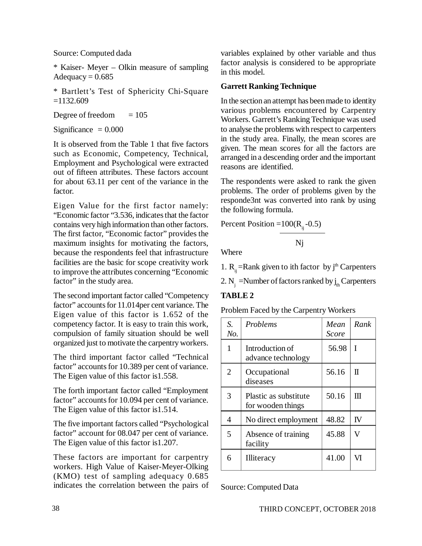Source: Computed dada

\* Kaiser- Meyer – Olkin measure of sampling  $A$ dequacy = 0.685

\* Bartlett's Test of Sphericity Chi-Square  $=1132.609$ 

Degree of freedom  $= 105$ 

Significance  $= 0.000$ 

It is observed from the Table 1 that five factors such as Economic, Competency, Technical, Employment and Psychological were extracted out of fifteen attributes. These factors account for about 63.11 per cent of the variance in the factor.

Eigen Value for the first factor namely: "Economic factor "3.536, indicates that the factor contains very high information than other factors. The first factor, "Economic factor" provides the maximum insights for motivating the factors, because the respondents feel that infrastructure facilities are the basic for scope creativity work to improve the attributes concerning "Economic factor" in the study area.

The second important factor called "Competency factor" accounts for 11.014per cent variance. The Eigen value of this factor is 1.652 of the competency factor. It is easy to train this work, compulsion of family situation should be well organized just to motivate the carpentry workers.

The third important factor called "Technical factor" accounts for 10.389 per cent of variance. The Eigen value of this factor is1.558.

The forth important factor called "Employment factor" accounts for 10.094 per cent of variance. The Eigen value of this factor is1.514.

The five important factors called "Psychological factor" account for 08.047 per cent of variance. The Eigen value of this factor is1.207.

These factors are important for carpentry workers. High Value of Kaiser-Meyer-Olking (KMO) test of sampling adequacy 0.685 indicates the correlation between the pairs of variables explained by other variable and thus factor analysis is considered to be appropriate in this model.

### **Garrett Ranking Technique**

In the section an attempt has been made to identity various problems encountered by Carpentry Workers. Garrett's Ranking Technique was used to analyse the problems with respect to carpenters in the study area. Finally, the mean scores are given. The mean scores for all the factors are arranged in a descending order and the important reasons are identified.

The respondents were asked to rank the given problems. The order of problems given by the responde3nt was converted into rank by using the following formula.

Percent Position = 
$$
100(R_{ij} - 0.5)
$$

Nj

1.  $R_{ii}$  =Rank given to ith factor by j<sup>th</sup> Carpenters

2.  $N_j$  =Number of factors ranked by  $j_{th}$  Carpenters

### **TABLE 2**

Where

|  |  | Problem Faced by the Carpentry Workers |
|--|--|----------------------------------------|
|  |  |                                        |

| S.<br>No.      | Problems                                   | Mean<br>Score | Rank |
|----------------|--------------------------------------------|---------------|------|
| 1              | Introduction of<br>advance technology      | 56.98         | T    |
| $\overline{2}$ | Occupational<br>diseases                   | 56.16         | Π    |
| 3              | Plastic as substitute<br>for wooden things | 50.16         | Ш    |
| 4              | No direct employment                       | 48.82         | IV   |
| 5              | Absence of training<br>facility            | 45.88         | V    |
| 6              | Illiteracy                                 | 41.00         | VI   |

### Source: Computed Data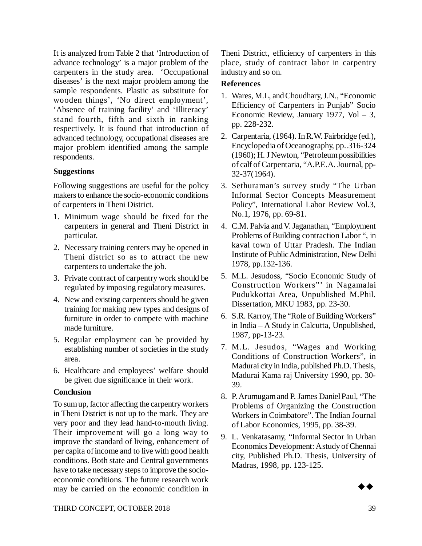It is analyzed from Table 2 that 'Introduction of advance technology' is a major problem of the carpenters in the study area. 'Occupational diseases' is the next major problem among the sample respondents. Plastic as substitute for wooden things', 'No direct employment', 'Absence of training facility' and 'Illiteracy' stand fourth, fifth and sixth in ranking respectively. It is found that introduction of advanced technology, occupational diseases are major problem identified among the sample respondents.

#### **Suggestions**

Following suggestions are useful for the policy makers to enhance the socio-economic conditions of carpenters in Theni District.

- 1. Minimum wage should be fixed for the carpenters in general and Theni District in particular.
- 2. Necessary training centers may be opened in Theni district so as to attract the new carpenters to undertake the job.
- 3. Private contract of carpentry work should be regulated by imposing regulatory measures.
- 4. New and existing carpenters should be given training for making new types and designs of furniture in order to compete with machine made furniture.
- 5. Regular employment can be provided by establishing number of societies in the study area.
- 6. Healthcare and employees' welfare should be given due significance in their work.

#### **Conclusion**

To sum up, factor affecting the carpentry workers in Theni District is not up to the mark. They are very poor and they lead hand-to-mouth living. Their improvement will go a long way to improve the standard of living, enhancement of per capita of income and to live with good health conditions. Both state and Central governments have to take necessary steps to improve the socioeconomic conditions. The future research work may be carried on the economic condition in

Theni District, efficiency of carpenters in this place, study of contract labor in carpentry industry and so on.

#### **References**

- 1. Wares, M.L, and Choudhary, J.N., "Economic Efficiency of Carpenters in Punjab" Socio Economic Review, January 1977, Vol – 3, pp. 228-232.
- 2. Carpentaria, (1964). In R.W. Fairbridge (ed.), Encyclopedia of Oceanography, pp..316-324 (1960); H. J Newton, "Petroleum possibilities of calf of Carpentaria, "A.P.E.A. Journal, pp-32-37(1964).
- 3. Sethuraman's survey study "The Urban Informal Sector Concepts Measurement Policy", International Labor Review Vol.3, No.1, 1976, pp. 69-81.
- 4. C.M. Palvia and V. Jaganathan, "Employment Problems of Building contraction Labor ", in kaval town of Uttar Pradesh. The Indian Institute of Public Administration, New Delhi 1978, pp.132-136.
- 5. M.L. Jesudoss, "Socio Economic Study of Construction Workers"' in Nagamalai Pudukkottai Area, Unpublished M.Phil. Dissertation, MKU 1983, pp. 23-30.
- 6. S.R. Karroy, The "Role of Building Workers" in India – A Study in Calcutta, Unpublished, 1987, pp-13-23.
- 7. M.L. Jesudos, "Wages and Working Conditions of Construction Workers", in Madurai city in India, published Ph.D. Thesis, Madurai Kama raj University 1990, pp. 30- 39.
- 8. P. Arumugam and P. James Daniel Paul, "The Problems of Organizing the Construction Workers in Coimbatore". The Indian Journal of Labor Economics, 1995, pp. 38-39.
- 9. L. Venkatasamy, "Informal Sector in Urban Economics Development: A study of Chennai city, Published Ph.D. Thesis, University of Madras, 1998, pp. 123-125.

### THIRD CONCEPT, OCTOBER 2018 39

 $\rightarrow \rightarrow$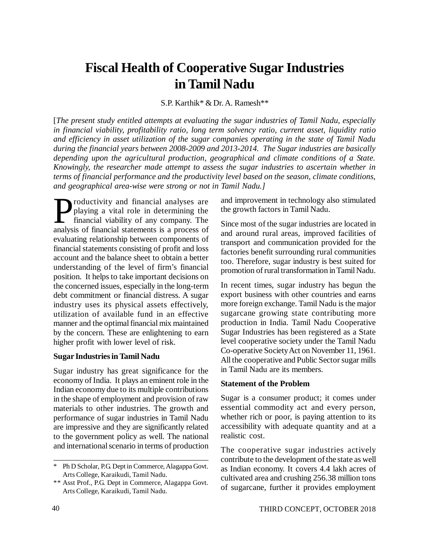# **Fiscal Health of Cooperative Sugar Industries in Tamil Nadu**

S.P. Karthik\* & Dr. A. Ramesh\*\*

[*The present study entitled attempts at evaluating the sugar industries of Tamil Nadu, especially in financial viability, profitability ratio, long term solvency ratio, current asset, liquidity ratio and efficiency in asset utilization of the sugar companies operating in the state of Tamil Nadu during the financial years between 2008-2009 and 2013-2014. The Sugar industries are basically depending upon the agricultural production, geographical and climate conditions of a State. Knowingly, the researcher made attempt to assess the sugar industries to ascertain whether in terms of financial performance and the productivity level based on the season, climate conditions, and geographical area-wise were strong or not in Tamil Nadu.]*

**P**roductivity and financial analyses are playing a vital role in determining the financial viability of any company. The analysis of financial statements is a process of roductivity and financial analyses are playing a vital role in determining the financial viability of any company. The evaluating relationship between components of financial statements consisting of profit and loss account and the balance sheet to obtain a better understanding of the level of firm's financial position. It helps to take important decisions on the concerned issues, especially in the long-term debt commitment or financial distress. A sugar industry uses its physical assets effectively, utilization of available fund in an effective manner and the optimal financial mix maintained by the concern. These are enlightening to earn higher profit with lower level of risk.

#### **Sugar Industries in Tamil Nadu**

Sugar industry has great significance for the economy of India. It plays an eminent role in the Indian economy due to its multiple contributions in the shape of employment and provision of raw materials to other industries. The growth and performance of sugar industries in Tamil Nadu are impressive and they are significantly related to the government policy as well. The national and international scenario in terms of production

and improvement in technology also stimulated the growth factors in Tamil Nadu.

Since most of the sugar industries are located in and around rural areas, improved facilities of transport and communication provided for the factories benefit surrounding rural communities too. Therefore, sugar industry is best suited for promotion of rural transformation in Tamil Nadu.

In recent times, sugar industry has begun the export business with other countries and earns more foreign exchange. Tamil Nadu is the major sugarcane growing state contributing more production in India. Tamil Nadu Cooperative Sugar Industries has been registered as a State level cooperative society under the Tamil Nadu Co-operative Society Act on November 11, 1961. All the cooperative and Public Sector sugar mills in Tamil Nadu are its members.

### **Statement of the Problem**

Sugar is a consumer product; it comes under essential commodity act and every person, whether rich or poor, is paying attention to its accessibility with adequate quantity and at a realistic cost.

The cooperative sugar industries actively contribute to the development of the state as well as Indian economy. It covers 4.4 lakh acres of cultivated area and crushing 256.38 million tons of sugarcane, further it provides employment

Ph D Scholar, P.G. Dept in Commerce, Alagappa Govt. Arts College, Karaikudi, Tamil Nadu.

<sup>\*\*</sup> Asst Prof., P.G. Dept in Commerce, Alagappa Govt. Arts College, Karaikudi, Tamil Nadu.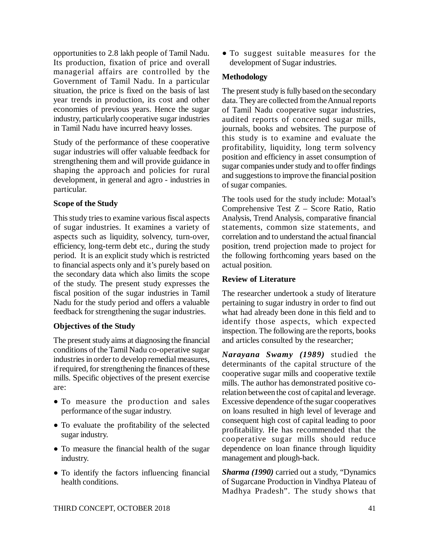opportunities to 2.8 lakh people of Tamil Nadu. Its production, fixation of price and overall managerial affairs are controlled by the Government of Tamil Nadu. In a particular situation, the price is fixed on the basis of last year trends in production, its cost and other economies of previous years. Hence the sugar industry, particularly cooperative sugar industries in Tamil Nadu have incurred heavy losses.

Study of the performance of these cooperative sugar industries will offer valuable feedback for strengthening them and will provide guidance in shaping the approach and policies for rural development, in general and agro - industries in particular.

#### **Scope of the Study**

This study tries to examine various fiscal aspects of sugar industries. It examines a variety of aspects such as liquidity, solvency, turn-over, efficiency, long-term debt etc., during the study period. It is an explicit study which is restricted to financial aspects only and it's purely based on the secondary data which also limits the scope of the study. The present study expresses the fiscal position of the sugar industries in Tamil Nadu for the study period and offers a valuable feedback for strengthening the sugar industries.

### **Objectives of the Study**

The present study aims at diagnosing the financial conditions of the Tamil Nadu co-operative sugar industries in order to develop remedial measures, if required, for strengthening the finances of these mills. Specific objectives of the present exercise are:

- To measure the production and sales performance of the sugar industry.
- To evaluate the profitability of the selected sugar industry.
- To measure the financial health of the sugar industry.
- To identify the factors influencing financial health conditions.

 To suggest suitable measures for the development of Sugar industries.

#### **Methodology**

The present study is fully based on the secondary data. They are collected from the Annual reports of Tamil Nadu cooperative sugar industries, audited reports of concerned sugar mills, journals, books and websites. The purpose of this study is to examine and evaluate the profitability, liquidity, long term solvency position and efficiency in asset consumption of sugar companies under study and to offer findings and suggestions to improve the financial position of sugar companies.

The tools used for the study include: Motaal's Comprehensive Test Z – Score Ratio, Ratio Analysis, Trend Analysis, comparative financial statements, common size statements, and correlation and to understand the actual financial position, trend projection made to project for the following forthcoming years based on the actual position.

#### **Review of Literature**

The researcher undertook a study of literature pertaining to sugar industry in order to find out what had already been done in this field and to identify those aspects, which expected inspection. The following are the reports, books and articles consulted by the researcher;

*Narayana Swamy (1989)* studied the determinants of the capital structure of the cooperative sugar mills and cooperative textile mills. The author has demonstrated positive corelation between the cost of capital and leverage. Excessive dependence of the sugar cooperatives on loans resulted in high level of leverage and consequent high cost of capital leading to poor profitability. He has recommended that the cooperative sugar mills should reduce dependence on loan finance through liquidity management and plough-back.

*Sharma (1990)* carried out a study, "Dynamics of Sugarcane Production in Vindhya Plateau of Madhya Pradesh". The study shows that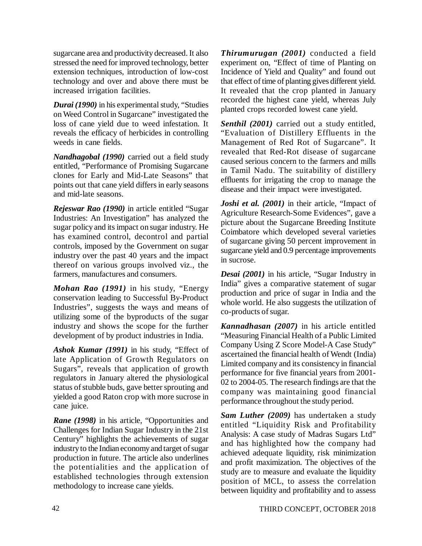sugarcane area and productivity decreased. It also stressed the need for improved technology, better extension techniques, introduction of low-cost technology and over and above there must be increased irrigation facilities.

*Durai (1990)* in his experimental study, "Studies on Weed Control in Sugarcane" investigated the loss of cane yield due to weed infestation. It reveals the efficacy of herbicides in controlling weeds in cane fields.

*Nandhagobal (1990)* carried out a field study entitled, "Performance of Promising Sugarcane clones for Early and Mid-Late Seasons" that points out that cane yield differs in early seasons and mid-late seasons.

*Rejeswar Rao (1990)* in article entitled "Sugar Industries: An Investigation" has analyzed the sugar policy and its impact on sugar industry. He has examined control, decontrol and partial controls, imposed by the Government on sugar industry over the past 40 years and the impact thereof on various groups involved viz., the farmers, manufactures and consumers.

*Mohan Rao (1991)* in his study, "Energy conservation leading to Successful By-Product Industries", suggests the ways and means of utilizing some of the byproducts of the sugar industry and shows the scope for the further development of by product industries in India.

*Ashok Kumar (1991)* in his study, "Effect of late Application of Growth Regulators on Sugars", reveals that application of growth regulators in January altered the physiological status of stubble buds, gave better sprouting and yielded a good Raton crop with more sucrose in cane juice.

*Rane (1998)* in his article, "Opportunities and Challenges for Indian Sugar Industry in the 21st Century" highlights the achievements of sugar industry to the Indian economy and target of sugar production in future. The article also underlines the potentialities and the application of established technologies through extension methodology to increase cane yields.

*Thirumurugan (2001)* conducted a field experiment on, "Effect of time of Planting on Incidence of Yield and Quality" and found out that effect of time of planting gives different yield. It revealed that the crop planted in January recorded the highest cane yield, whereas July planted crops recorded lowest cane yield.

*Senthil (2001)* carried out a study entitled, "Evaluation of Distillery Effluents in the Management of Red Rot of Sugarcane". It revealed that Red-Rot disease of sugarcane caused serious concern to the farmers and mills in Tamil Nadu. The suitability of distillery effluents for irrigating the crop to manage the disease and their impact were investigated.

*Joshi et al.* (2001) in their article, "Impact of Agriculture Research-Some Evidences", gave a picture about the Sugarcane Breeding Institute Coimbatore which developed several varieties of sugarcane giving 50 percent improvement in sugarcane yield and 0.9 percentage improvements in sucrose.

*Desai (2001)* in his article, "Sugar Industry in India" gives a comparative statement of sugar production and price of sugar in India and the whole world. He also suggests the utilization of co-products of sugar.

*Kannadhasan (2007)* in his article entitled "Measuring Financial Health of a Public Limited Company Using Z Score Model-A Case Study" ascertained the financial health of Wendt (India) Limited company and its consistency in financial performance for five financial years from 2001- 02 to 2004-05. The research findings are that the company was maintaining good financial performance throughout the study period.

*Sam Luther (2009)* has undertaken a study entitled "Liquidity Risk and Profitability Analysis: A case study of Madras Sugars Ltd" and has highlighted how the company had achieved adequate liquidity, risk minimization and profit maximization. The objectives of the study are to measure and evaluate the liquidity position of MCL, to assess the correlation between liquidity and profitability and to assess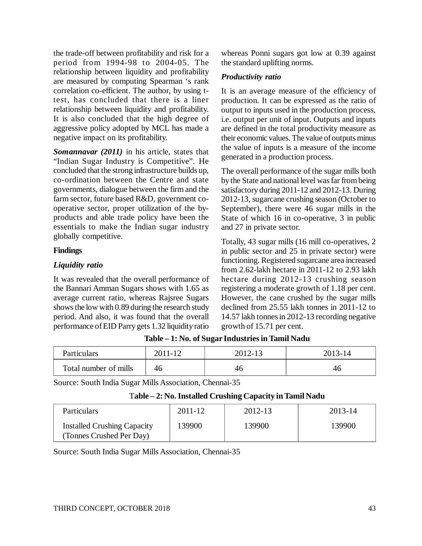the trade-off between profitability and risk for a period from 1994-98 to 2004-05. The relationship between liquidity and profitability are measured by computing Spearman 's rank correlation co-efficient. The author, by using ttest, has concluded that there is a liner relationship between liquidity and profitability. It is also concluded that the high degree of aggressive policy adopted by MCL has made a negative impact on its profitability.

*Somannavar (2011)* in his article, states that "Indian Sugar Industry is Competitive". He concluded that the strong infrastructure builds up, co-ordination between the Centre and state governments, dialogue between the firm and the farm sector, future based R&D, government cooperative sector, proper utilization of the byproducts and able trade policy have been the essentials to make the Indian sugar industry globally competitive.

#### **Findings**

#### *Liquidity ratio*

It was revealed that the overall performance of the Bannari Amman Sugars shows with 1.65 as average current ratio, whereas Rajsree Sugars shows the low with 0.89 during the research study period. And also, it was found that the overall performance of EID Parry gets 1.32 liquidity ratio

whereas Ponni sugars got low at 0.39 against the standard uplifting norms.

#### *Productivity ratio*

It is an average measure of the efficiency of production. It can be expressed as the ratio of output to inputs used in the production process, i.e. output per unit of input. Outputs and inputs are defined in the total productivity measure as their economic values. The value of outputs minus the value of inputs is a measure of the income generated in a production process.

The overall performance of the sugar mills both by the State and national level was far from being satisfactory during 2011-12 and 2012-13. During 2012-13, sugarcane crushing season (October to September), there were 46 sugar mills in the State of which 16 in co-operative, 3 in public and 27 in private sector.

Totally, 43 sugar mills (16 mill co-operatives, 2 in public sector and 25 in private sector) were functioning. Registered sugarcane area increased from 2.62-lakh hectare in 2011-12 to 2.93 lakh hectare during 2012-13 crushing season registering a moderate growth of 1.18 per cent. However, the cane crushed by the sugar mills declined from 25.55 lakh tonnes in 2011-12 to 14.57 lakh tonnes in 2012-13 recording negative growth of 15.71 per cent.

| <b>Particulars</b>    | 2011-12 | 2012-13 | 2013-14 |
|-----------------------|---------|---------|---------|
| Total number of mills | 46      | 40      | 4t      |

**Table – 1: No. of Sugar Industries in Tamil Nadu**

Source: South India Sugar Mills Association, Chennai-35

| <b>Particulars</b>                                             | 2011-12 | 2012-13 | 2013-14 |
|----------------------------------------------------------------|---------|---------|---------|
| <b>Installed Crushing Capacity</b><br>(Tonnes Crushed Per Day) | 139900  | 139900  | 139900  |

Source: South India Sugar Mills Association, Chennai-35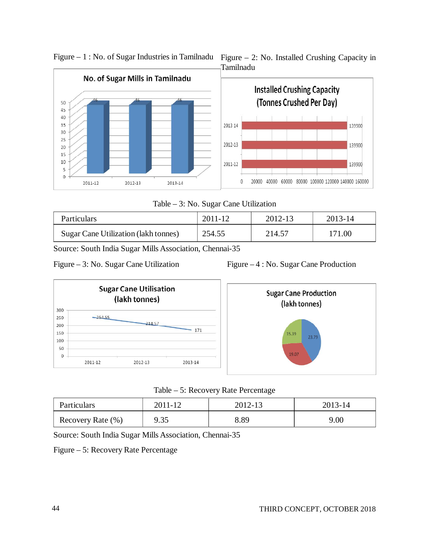

Figure – 1 : No. of Sugar Industries in Tamilnadu Figure – 2: No. Installed Crushing Capacity in Tamilnadu

Table – 3: No. Sugar Cane Utilization

| <b>Particulars</b>                   | 2011-12 | 2012-13 | 2013-14 |
|--------------------------------------|---------|---------|---------|
| Sugar Cane Utilization (lakh tonnes) | 254.55  | 214.57  | 171.00  |

Source: South India Sugar Mills Association, Chennai-35

Figure – 3: No. Sugar Cane Utilization Figure – 4: No. Sugar Cane Production





|  |  |  | Table – 5: Recovery Rate Percentage |
|--|--|--|-------------------------------------|
|--|--|--|-------------------------------------|

| Particulars       | 2011-12 | 2012-13 | 2013-14 |
|-------------------|---------|---------|---------|
| Recovery Rate (%) | 9.35    | 8.89    | 9.00    |

Source: South India Sugar Mills Association, Chennai-35

Figure – 5: Recovery Rate Percentage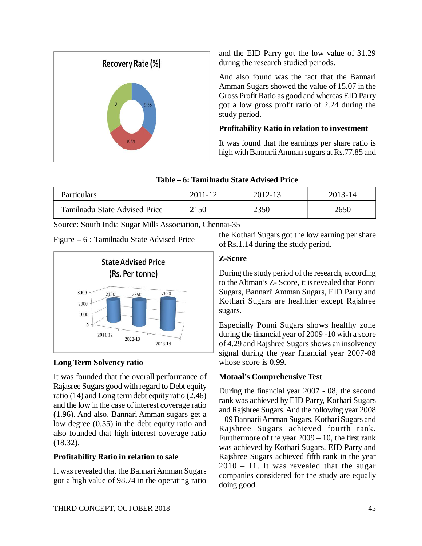

and the EID Parry got the low value of 31.29 during the research studied periods.

And also found was the fact that the Bannari Amman Sugars showed the value of 15.07 in the Gross Profit Ratio as good and whereas EID Parry got a low gross profit ratio of 2.24 during the study period.

#### **Profitability Ratio in relation to investment**

It was found that the earnings per share ratio is high with Bannarii Amman sugars at Rs.77.85 and

| Particulars                          | 2011-12 | 2012-13 | 2013-14 |
|--------------------------------------|---------|---------|---------|
| <b>Tamilnadu State Advised Price</b> | 2150    | 2350    | 2650    |

**Table – 6: Tamilnadu State Advised Price**

Source: South India Sugar Mills Association, Chennai-35

Figure – 6 : Tamilnadu State Advised Price



### **Long Term Solvency ratio**

It was founded that the overall performance of Rajasree Sugars good with regard to Debt equity ratio (14) and Long term debt equity ratio (2.46) and the low in the case of interest coverage ratio (1.96). And also, Bannari Amman sugars get a low degree (0.55) in the debt equity ratio and also founded that high interest coverage ratio (18.32).

### **Profitability Ratio in relation to sale**

It was revealed that the Bannari Amman Sugars got a high value of 98.74 in the operating ratio the Kothari Sugars got the low earning per share of Rs.1.14 during the study period.

#### **Z-Score**

During the study period of the research, according to the Altman's Z- Score, it is revealed that Ponni Sugars, Bannarii Amman Sugars, EID Parry and Kothari Sugars are healthier except Rajshree sugars.

Especially Ponni Sugars shows healthy zone during the financial year of 2009 -10 with a score of 4.29 and Rajshree Sugars shows an insolvency signal during the year financial year 2007-08 whose score is 0.99.

### **Motaal's Comprehensive Test**

During the financial year 2007 - 08, the second rank was achieved by EID Parry, Kothari Sugars and Rajshree Sugars. And the following year 2008 – 09 Bannarii Amman Sugars, Kothari Sugars and Rajshree Sugars achieved fourth rank. Furthermore of the year 2009 – 10, the first rank was achieved by Kothari Sugars. EID Parry and Rajshree Sugars achieved fifth rank in the year  $2010 - 11$ . It was revealed that the sugar companies considered for the study are equally doing good.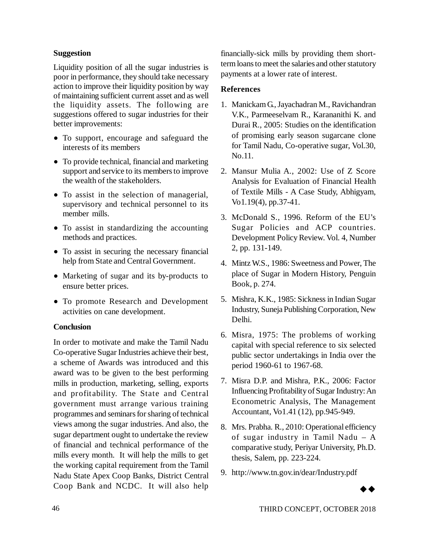### **Suggestion**

Liquidity position of all the sugar industries is poor in performance, they should take necessary action to improve their liquidity position by way of maintaining sufficient current asset and as well the liquidity assets. The following are suggestions offered to sugar industries for their better improvements:

- To support, encourage and safeguard the interests of its members
- To provide technical, financial and marketing support and service to its members to improve the wealth of the stakeholders.
- To assist in the selection of managerial, supervisory and technical personnel to its member mills.
- To assist in standardizing the accounting methods and practices.
- To assist in securing the necessary financial help from State and Central Government.
- Marketing of sugar and its by-products to ensure better prices.
- To promote Research and Development activities on cane development.

### **Conclusion**

In order to motivate and make the Tamil Nadu Co-operative Sugar Industries achieve their best, a scheme of Awards was introduced and this award was to be given to the best performing mills in production, marketing, selling, exports and profitability. The State and Central government must arrange various training programmes and seminars for sharing of technical views among the sugar industries. And also, the sugar department ought to undertake the review of financial and technical performance of the mills every month. It will help the mills to get the working capital requirement from the Tamil Nadu State Apex Coop Banks, District Central Coop Bank and NCDC. It will also help

financially-sick mills by providing them shortterm loans to meet the salaries and other statutory payments at a lower rate of interest.

### **References**

- 1. Manickam G., Jayachadran M., Ravichandran V.K., Parmeeselvam R., Karananithi K. and Durai R., 2005: Studies on the identification of promising early season sugarcane clone for Tamil Nadu, Co-operative sugar, Vol.30, No.11.
- 2. Mansur Mulia A., 2002: Use of Z Score Analysis for Evaluation of Financial Health of Textile Mills - A Case Study, Abhigyam, Vo1.19(4), pp.37-41.
- 3. McDonald S., 1996. Reform of the EU's Sugar Policies and ACP countries. Development Policy Review. Vol. 4, Number 2, pp. 131-149.
- 4. Mintz W.S., 1986: Sweetness and Power, The place of Sugar in Modern History, Penguin Book, p. 274.
- 5. Mishra, K.K., 1985: Sickness in Indian Sugar Industry, Suneja Publishing Corporation, New Delhi.
- 6. Misra, 1975: The problems of working capital with special reference to six selected public sector undertakings in India over the period 1960-61 to 1967-68.
- 7. Misra D.P. and Mishra, P.K., 2006: Factor Influencing Profitability of Sugar Industry: An Econometric Analysis, The Management Accountant, Vo1.41 (12), pp.945-949.
- 8. Mrs. Prabha. R., 2010: Operational efficiency of sugar industry in Tamil Nadu – A comparative study, Periyar University, Ph.D. thesis, Salem, pp. 223-224.
- 9. <http://www.tn.gov.in/dear/Industry.pdf>

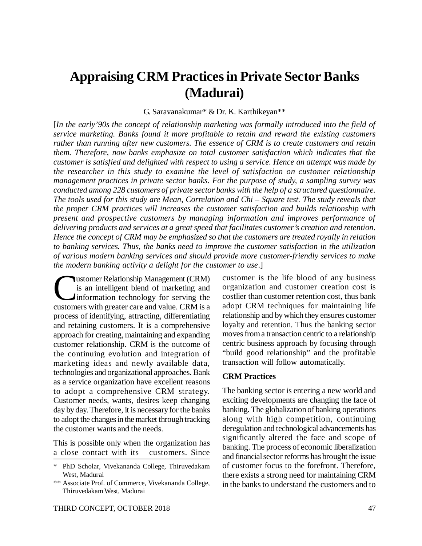# **Appraising CRM Practices in Private Sector Banks (Madurai)**

#### G. Saravanakumar\* & Dr. K. Karthikeyan\*\*

[*In the early'90s the concept of relationship marketing was formally introduced into the field of service marketing. Banks found it more profitable to retain and reward the existing customers rather than running after new customers. The essence of CRM is to create customers and retain them. Therefore, now banks emphasize on total customer satisfaction which indicates that the customer is satisfied and delighted with respect to using a service. Hence an attempt was made by the researcher in this study to examine the level of satisfaction on customer relationship management practices in private sector banks. For the purpose of study, a sampling survey was conducted among 228 customers of private sector banks with the help of a structured questionnaire. The tools used for this study are Mean, Correlation and Chi – Square test. The study reveals that the proper CRM practices will increases the customer satisfaction and builds relationship with present and prospective customers by managing information and improves performance of delivering products and services at a great speed that facilitates customer's creation and retention. Hence the concept of CRM may be emphasized so that the customers are treated royally in relation to banking services. Thus, the banks need to improve the customer satisfaction in the utilization of various modern banking services and should provide more customer-friendly services to make the modern banking activity a delight for the customer to use*.]

Ustomer Relationship Management (CRM)<br>
is an intelligent blend of marketing and<br>
information technology for serving the<br>
customers with greater care and value. CRM is a ustomer Relationship Management (CRM) is an intelligent blend of marketing and information technology for serving the process of identifying, attracting, differentiating and retaining customers. It is a comprehensive approach for creating, maintaining and expanding customer relationship. CRM is the outcome of the continuing evolution and integration of marketing ideas and newly available data, technologies and organizational approaches. Bank as a service organization have excellent reasons to adopt a comprehensive CRM strategy. Customer needs, wants, desires keep changing day by day. Therefore, it is necessary for the banks to adopt the changes in the market through tracking the customer wants and the needs.

This is possible only when the organization has a close contact with its customers. Since customer is the life blood of any business organization and customer creation cost is costlier than customer retention cost, thus bank adopt CRM techniques for maintaining life relationship and by which they ensures customer loyalty and retention. Thus the banking sector moves from a transaction centric to a relationship centric business approach by focusing through "build good relationship" and the profitable transaction will follow automatically.

#### **CRM Practices**

The banking sector is entering a new world and exciting developments are changing the face of banking. The globalization of banking operations along with high competition, continuing deregulation and technological advancements has significantly altered the face and scope of banking. The process of economic liberalization and financial sector reforms has brought the issue of customer focus to the forefront. Therefore, there exists a strong need for maintaining CRM in the banks to understand the customers and to

PhD Scholar, Vivekananda College, Thiruvedakam West, Madurai

<sup>\*\*</sup> Associate Prof. of Commerce, Vivekananda College, Thiruvedakam West, Madurai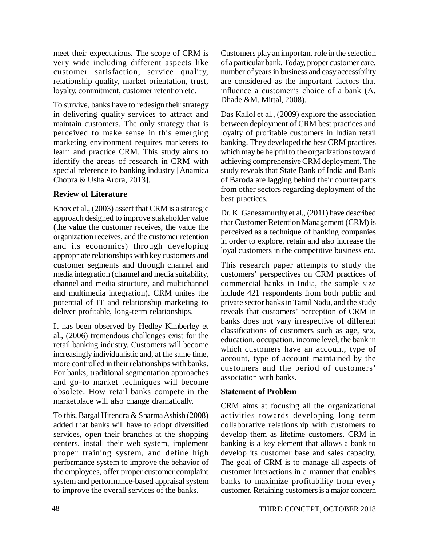meet their expectations. The scope of CRM is very wide including different aspects like customer satisfaction, service quality, relationship quality, market orientation, trust, loyalty, commitment, customer retention etc.

To survive, banks have to redesign their strategy in delivering quality services to attract and maintain customers. The only strategy that is perceived to make sense in this emerging marketing environment requires marketers to learn and practice CRM. This study aims to identify the areas of research in CRM with special reference to banking industry [Anamica Chopra & Usha Arora, 2013].

#### **Review of Literature**

Knox et al., (2003) assert that CRM is a strategic approach designed to improve stakeholder value (the value the customer receives, the value the organization receives, and the customer retention and its economics) through developing appropriate relationships with key customers and customer segments and through channel and media integration (channel and media suitability, channel and media structure, and multichannel and multimedia integration). CRM unites the potential of IT and relationship marketing to deliver profitable, long-term relationships.

It has been observed by Hedley Kimberley et al., (2006) tremendous challenges exist for the retail banking industry. Customers will become increasingly individualistic and, at the same time, more controlled in their relationships with banks. For banks, traditional segmentation approaches and go-to market techniques will become obsolete. How retail banks compete in the marketplace will also change dramatically.

To this, Bargal Hitendra & Sharma Ashish (2008) added that banks will have to adopt diversified services, open their branches at the shopping centers, install their web system, implement proper training system, and define high performance system to improve the behavior of the employees, offer proper customer complaint system and performance-based appraisal system to improve the overall services of the banks.

Customers play an important role in the selection of a particular bank. Today, proper customer care, number of years in business and easy accessibility are considered as the important factors that influence a customer's choice of a bank (A. Dhade &M. Mittal, 2008).

Das Kallol et al., (2009) explore the association between deployment of CRM best practices and loyalty of profitable customers in Indian retail banking. They developed the best CRM practices which may be helpful to the organizations toward achieving comprehensive CRM deployment. The study reveals that State Bank of India and Bank of Baroda are lagging behind their counterparts from other sectors regarding deployment of the best practices.

Dr. K. Ganesamurthy et al., (2011) have described that Customer Retention Management (CRM) is perceived as a technique of banking companies in order to explore, retain and also increase the loyal customers in the competitive business era.

This research paper attempts to study the customers' perspectives on CRM practices of commercial banks in India, the sample size include 421 respondents from both public and private sector banks in Tamil Nadu, and the study reveals that customers' perception of CRM in banks does not vary irrespective of different classifications of customers such as age, sex, education, occupation, income level, the bank in which customers have an account, type of account, type of account maintained by the customers and the period of customers' association with banks.

#### **Statement of Problem**

CRM aims at focusing all the organizational activities towards developing long term collaborative relationship with customers to develop them as lifetime customers. CRM in banking is a key element that allows a bank to develop its customer base and sales capacity. The goal of CRM is to manage all aspects of customer interactions in a manner that enables banks to maximize profitability from every customer. Retaining customers is a major concern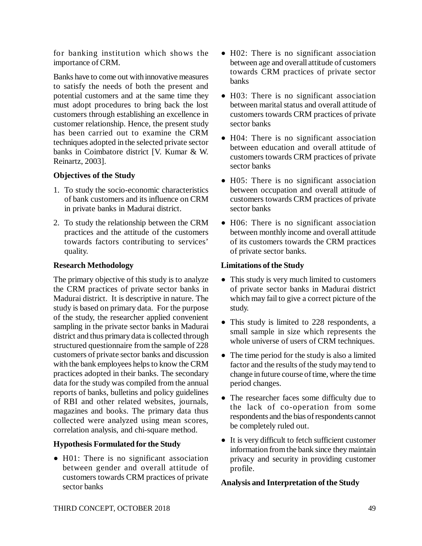for banking institution which shows the importance of CRM.

Banks have to come out with innovative measures to satisfy the needs of both the present and potential customers and at the same time they must adopt procedures to bring back the lost customers through establishing an excellence in customer relationship. Hence, the present study has been carried out to examine the CRM techniques adopted in the selected private sector banks in Coimbatore district [V. Kumar & W. Reinartz, 2003].

### **Objectives of the Study**

- 1. To study the socio-economic characteristics of bank customers and its influence on CRM in private banks in Madurai district.
- 2. To study the relationship between the CRM practices and the attitude of the customers towards factors contributing to services' quality.

### **Research Methodology**

The primary objective of this study is to analyze the CRM practices of private sector banks in Madurai district. It is descriptive in nature. The study is based on primary data. For the purpose of the study, the researcher applied convenient sampling in the private sector banks in Madurai district and thus primary data is collected through structured questionnaire from the sample of 228 customers of private sector banks and discussion with the bank employees helps to know the CRM practices adopted in their banks. The secondary data for the study was compiled from the annual reports of banks, bulletins and policy guidelines of RBI and other related websites, journals, magazines and books. The primary data thus collected were analyzed using mean scores, correlation analysis, and chi-square method.

### **Hypothesis Formulated for the Study**

• H01: There is no significant association between gender and overall attitude of customers towards CRM practices of private sector banks

- H02: There is no significant association between age and overall attitude of customers towards CRM practices of private sector banks
- H03: There is no significant association between marital status and overall attitude of customers towards CRM practices of private sector banks
- H04: There is no significant association between education and overall attitude of customers towards CRM practices of private sector banks
- H05: There is no significant association between occupation and overall attitude of customers towards CRM practices of private sector banks
- H06: There is no significant association between monthly income and overall attitude of its customers towards the CRM practices of private sector banks.

### **Limitations of the Study**

- This study is very much limited to customers of private sector banks in Madurai district which may fail to give a correct picture of the study.
- This study is limited to 228 respondents, a small sample in size which represents the whole universe of users of CRM techniques.
- The time period for the study is also a limited factor and the results of the study may tend to change in future course of time, where the time period changes.
- The researcher faces some difficulty due to the lack of co-operation from some respondents and the bias of respondents cannot be completely ruled out.
- It is very difficult to fetch sufficient customer information from the bank since they maintain privacy and security in providing customer profile.

### **Analysis and Interpretation of the Study**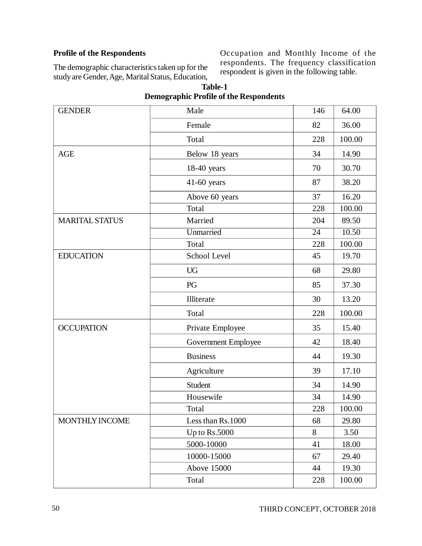### **Profile of the Respondents**

The demographic characteristics taken up for the study are Gender, Age, Marital Status, Education,

Occupation and Monthly Income of the respondents. The frequency classification respondent is given in the following table.

| <b>GENDER</b>         | Male                | 146 | 64.00  |
|-----------------------|---------------------|-----|--------|
|                       | Female              | 82  | 36.00  |
|                       | Total               | 228 | 100.00 |
| <b>AGE</b>            | Below 18 years      | 34  | 14.90  |
|                       | 18-40 years         | 70  | 30.70  |
|                       | $41-60$ years       | 87  | 38.20  |
|                       | Above 60 years      | 37  | 16.20  |
|                       | Total               | 228 | 100.00 |
| <b>MARITAL STATUS</b> | Married             | 204 | 89.50  |
|                       | Unmarried           | 24  | 10.50  |
|                       | Total               | 228 | 100.00 |
| <b>EDUCATION</b>      | School Level        | 45  | 19.70  |
|                       | <b>UG</b>           | 68  | 29.80  |
|                       | PG                  | 85  | 37.30  |
|                       | Illiterate          | 30  | 13.20  |
|                       | Total               | 228 | 100.00 |
| <b>OCCUPATION</b>     | Private Employee    | 35  | 15.40  |
|                       | Government Employee | 42  | 18.40  |
|                       | <b>Business</b>     | 44  | 19.30  |
|                       | Agriculture         | 39  | 17.10  |
|                       | Student             | 34  | 14.90  |
|                       | Housewife           | 34  | 14.90  |
|                       | Total               | 228 | 100.00 |
| MONTHLY INCOME        | Less than Rs.1000   | 68  | 29.80  |
|                       | Up to Rs.5000       | 8   | 3.50   |
|                       | 5000-10000          | 41  | 18.00  |
|                       | 10000-15000         | 67  | 29.40  |
|                       | <b>Above 15000</b>  | 44  | 19.30  |
|                       | Total               | 228 | 100.00 |

#### **Table-1 Demographic Profile of the Respondents**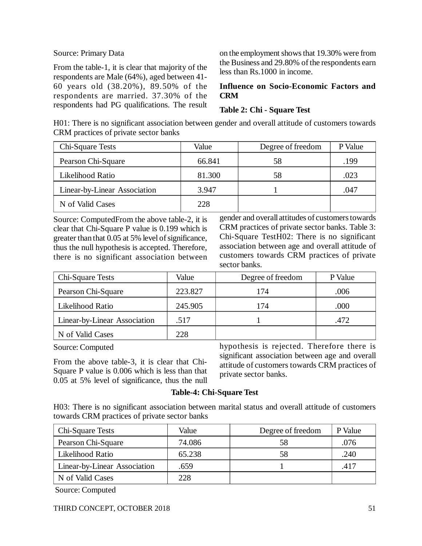#### Source: Primary Data

From the table-1, it is clear that majority of the respondents are Male (64%), aged between 41- 60 years old (38.20%), 89.50% of the respondents are married. 37.30% of the respondents had PG qualifications. The result on the employment shows that 19.30% were from the Business and 29.80% of the respondents earn less than Rs.1000 in income.

#### **Influence on Socio-Economic Factors and CRM**

#### **Table 2: Chi - Square Test**

H01: There is no significant association between gender and overall attitude of customers towards CRM practices of private sector banks

| Chi-Square Tests             | Value  | Degree of freedom | P Value |
|------------------------------|--------|-------------------|---------|
| Pearson Chi-Square           | 66.841 | 58                | .199    |
| Likelihood Ratio             | 81.300 | 58                | .023    |
| Linear-by-Linear Association | 3.947  |                   | .047    |
| N of Valid Cases             | 228    |                   |         |

Source: ComputedFrom the above table-2, it is clear that Chi-Square P value is 0.199 which is greater than that 0.05 at 5% level of significance, thus the null hypothesis is accepted. Therefore, there is no significant association between gender and overall attitudes of customers towards CRM practices of private sector banks. Table 3: Chi-Square TestH02: There is no significant association between age and overall attitude of customers towards CRM practices of private sector banks.

| Chi-Square Tests             | Value   | Degree of freedom | P Value |
|------------------------------|---------|-------------------|---------|
| Pearson Chi-Square           | 223.827 | 174               | .006    |
| Likelihood Ratio             | 245.905 | 174               | .000    |
| Linear-by-Linear Association | .517    |                   | .472    |
| N of Valid Cases             | 228     |                   |         |

Source: Computed

From the above table-3, it is clear that Chi-Square P value is 0.006 which is less than that 0.05 at 5% level of significance, thus the null hypothesis is rejected. Therefore there is significant association between age and overall attitude of customers towards CRM practices of private sector banks.

### **Table-4: Chi-Square Test**

H03: There is no significant association between marital status and overall attitude of customers towards CRM practices of private sector banks

| Chi-Square Tests             | Value  | Degree of freedom | P Value |
|------------------------------|--------|-------------------|---------|
| Pearson Chi-Square           | 74.086 | 58                | .076    |
| Likelihood Ratio             | 65.238 | 58                | .240    |
| Linear-by-Linear Association | .659   |                   | .417    |
| N of Valid Cases             | 228    |                   |         |

Source: Computed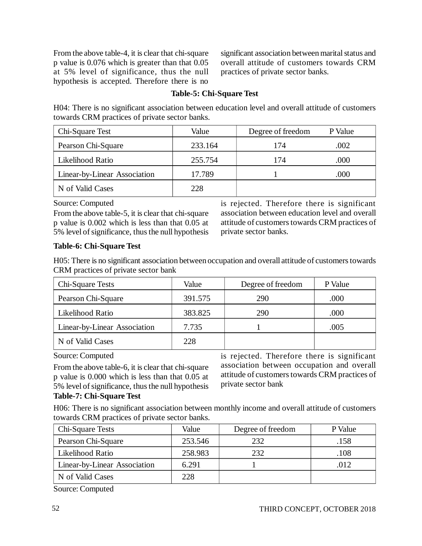From the above table-4, it is clear that chi-square p value is 0.076 which is greater than that 0.05 at 5% level of significance, thus the null hypothesis is accepted. Therefore there is no

significant association between marital status and overall attitude of customers towards CRM practices of private sector banks.

#### **Table-5: Chi-Square Test**

H04: There is no significant association between education level and overall attitude of customers towards CRM practices of private sector banks.

| Chi-Square Test              | Value   | Degree of freedom | P Value |
|------------------------------|---------|-------------------|---------|
| Pearson Chi-Square           | 233.164 | 174               | .002    |
| Likelihood Ratio             | 255.754 | 174               | .000    |
| Linear-by-Linear Association | 17.789  |                   | .000    |
| N of Valid Cases             | 228     |                   |         |

Source: Computed

From the above table-5, it is clear that chi-square p value is 0.002 which is less than that 0.05 at 5% level of significance, thus the null hypothesis is rejected. Therefore there is significant association between education level and overall attitude of customers towards CRM practices of private sector banks.

#### **Table-6: Chi-Square Test**

H05: There is no significant association between occupation and overall attitude of customers towards CRM practices of private sector bank

| Chi-Square Tests             | Value   | Degree of freedom | P Value |
|------------------------------|---------|-------------------|---------|
| Pearson Chi-Square           | 391.575 | 290               | .000    |
| Likelihood Ratio             | 383.825 | 290               | .000    |
| Linear-by-Linear Association | 7.735   |                   | .005    |
| N of Valid Cases             | 228     |                   |         |

Source: Computed

From the above table-6, it is clear that chi-square p value is 0.000 which is less than that 0.05 at 5% level of significance, thus the null hypothesis is rejected. Therefore there is significant association between occupation and overall attitude of customers towards CRM practices of private sector bank

### **Table-7: Chi-Square Test**

H06: There is no significant association between monthly income and overall attitude of customers towards CRM practices of private sector banks.

| Chi-Square Tests             | Value   | Degree of freedom | P Value |
|------------------------------|---------|-------------------|---------|
| Pearson Chi-Square           | 253.546 | 232               | .158    |
| Likelihood Ratio             | 258.983 | 232               | .108    |
| Linear-by-Linear Association | 6.291   |                   | .012    |
| N of Valid Cases             | 228     |                   |         |

Source: Computed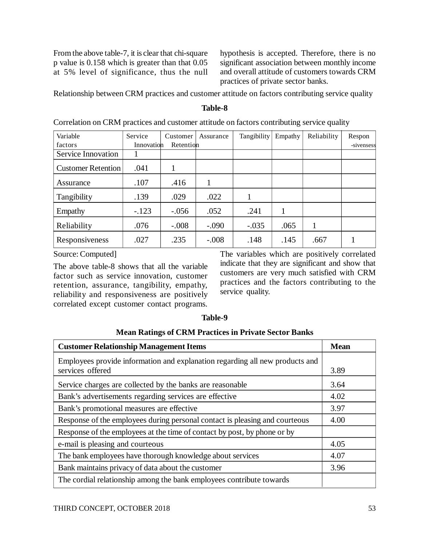From the above table-7, it is clear that chi-square p value is 0.158 which is greater than that 0.05 at 5% level of significance, thus the null hypothesis is accepted. Therefore, there is no significant association between monthly income and overall attitude of customers towards CRM practices of private sector banks.

Relationship between CRM practices and customer attitude on factors contributing service quality

#### **Table-8**

| Variable                  | Service    | Customer  | Assurance | Tangibility | Empathy | Reliability | Respon     |
|---------------------------|------------|-----------|-----------|-------------|---------|-------------|------------|
| factors                   | Innovation | Retention |           |             |         |             | -sivensess |
| Service Innovation        |            |           |           |             |         |             |            |
| <b>Customer Retention</b> | .041       |           |           |             |         |             |            |
| Assurance                 | .107       | .416      |           |             |         |             |            |
| Tangibility               | .139       | .029      | .022      |             |         |             |            |
| Empathy                   | $-.123$    | $-.056$   | .052      | .241        |         |             |            |
| Reliability               | .076       | $-.008$   | $-.090$   | $-.035$     | .065    | -1          |            |
| Responsiveness            | .027       | .235      | $-.008$   | .148        | .145    | .667        |            |

Correlation on CRM practices and customer attitude on factors contributing service quality

Source: Computed]

The above table-8 shows that all the variable factor such as service innovation, customer retention, assurance, tangibility, empathy, reliability and responsiveness are positively correlated except customer contact programs.

The variables which are positively correlated indicate that they are significant and show that customers are very much satisfied with CRM practices and the factors contributing to the service quality.

#### **Table-9**

#### **Mean Ratings of CRM Practices in Private Sector Banks**

| <b>Customer Relationship Management Items</b>                                                    | <b>Mean</b> |
|--------------------------------------------------------------------------------------------------|-------------|
| Employees provide information and explanation regarding all new products and<br>services offered | 3.89        |
|                                                                                                  |             |
| Service charges are collected by the banks are reasonable                                        | 3.64        |
| Bank's advertisements regarding services are effective                                           | 4.02        |
| Bank's promotional measures are effective                                                        | 3.97        |
| Response of the employees during personal contact is pleasing and courteous                      | 4.00        |
| Response of the employees at the time of contact by post, by phone or by                         |             |
| e-mail is pleasing and courteous                                                                 | 4.05        |
| The bank employees have thorough knowledge about services                                        | 4.07        |
| Bank maintains privacy of data about the customer                                                | 3.96        |
| The cordial relationship among the bank employees contribute towards                             |             |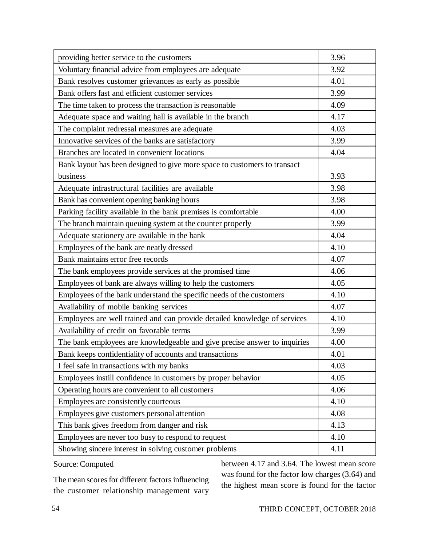| providing better service to the customers                                 | 3.96 |
|---------------------------------------------------------------------------|------|
| Voluntary financial advice from employees are adequate                    | 3.92 |
| Bank resolves customer grievances as early as possible                    | 4.01 |
| Bank offers fast and efficient customer services                          | 3.99 |
| The time taken to process the transaction is reasonable                   | 4.09 |
| Adequate space and waiting hall is available in the branch                | 4.17 |
| The complaint redressal measures are adequate                             | 4.03 |
| Innovative services of the banks are satisfactory                         | 3.99 |
| Branches are located in convenient locations                              | 4.04 |
| Bank layout has been designed to give more space to customers to transact |      |
| business                                                                  | 3.93 |
| Adequate infrastructural facilities are available                         | 3.98 |
| Bank has convenient opening banking hours                                 | 3.98 |
| Parking facility available in the bank premises is comfortable            | 4.00 |
| The branch maintain queuing system at the counter properly                | 3.99 |
| Adequate stationery are available in the bank                             | 4.04 |
| Employees of the bank are neatly dressed                                  | 4.10 |
| Bank maintains error free records                                         | 4.07 |
| The bank employees provide services at the promised time                  | 4.06 |
| Employees of bank are always willing to help the customers                | 4.05 |
| Employees of the bank understand the specific needs of the customers      | 4.10 |
| Availability of mobile banking services                                   | 4.07 |
| Employees are well trained and can provide detailed knowledge of services | 4.10 |
| Availability of credit on favorable terms                                 | 3.99 |
| The bank employees are knowledgeable and give precise answer to inquiries | 4.00 |
| Bank keeps confidentiality of accounts and transactions                   | 4.01 |
| I feel safe in transactions with my banks                                 | 4.03 |
| Employees instill confidence in customers by proper behavior              | 4.05 |
| Operating hours are convenient to all customers                           | 4.06 |
| Employees are consistently courteous                                      | 4.10 |
| Employees give customers personal attention                               | 4.08 |
| This bank gives freedom from danger and risk                              | 4.13 |
| Employees are never too busy to respond to request                        | 4.10 |
| Showing sincere interest in solving customer problems                     | 4.11 |

### Source: Computed

The mean scores for different factors influencing the customer relationship management vary between 4.17 and 3.64. The lowest mean score was found for the factor low charges (3.64) and the highest mean score is found for the factor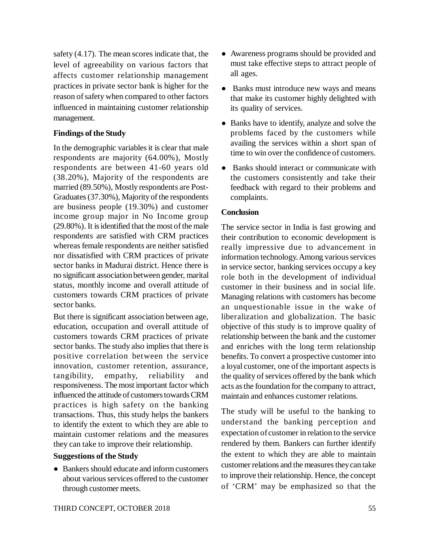safety (4.17). The mean scores indicate that, the level of agreeability on various factors that affects customer relationship management practices in private sector bank is higher for the reason of safety when compared to other factors influenced in maintaining customer relationship management.

#### **Findings of the Study**

In the demographic variables it is clear that male respondents are majority (64.00%), Mostly respondents are between 41-60 years old (38.20%), Majority of the respondents are married (89.50%), Mostly respondents are Post-Graduates (37.30%), Majority of the respondents are business people (19.30%) and customer income group major in No Income group (29.80%). It is identified that the most of the male respondents are satisfied with CRM practices whereas female respondents are neither satisfied nor dissatisfied with CRM practices of private sector banks in Madurai district. Hence there is no significant association between gender, marital status, monthly income and overall attitude of customers towards CRM practices of private sector banks.

But there is significant association between age, education, occupation and overall attitude of customers towards CRM practices of private sector banks. The study also implies that there is positive correlation between the service innovation, customer retention, assurance, tangibility, empathy, reliability and responsiveness. The most important factor which influenced the attitude of customers towards CRM practices is high safety on the banking transactions. Thus, this study helps the bankers to identify the extent to which they are able to maintain customer relations and the measures they can take to improve their relationship.

#### **Suggestions of the Study**

• Bankers should educate and inform customers about various services offered to the customer through customer meets.

- Awareness programs should be provided and must take effective steps to attract people of all ages.
- Banks must introduce new ways and means that make its customer highly delighted with its quality of services.
- Banks have to identify, analyze and solve the problems faced by the customers while availing the services within a short span of time to win over the confidence of customers.
- Banks should interact or communicate with the customers consistently and take their feedback with regard to their problems and complaints.

#### **Conclusion**

The service sector in India is fast growing and their contribution to economic development is really impressive due to advancement in information technology. Among various services in service sector, banking services occupy a key role both in the development of individual customer in their business and in social life. Managing relations with customers has become an unquestionable issue in the wake of liberalization and globalization. The basic objective of this study is to improve quality of relationship between the bank and the customer and enriches with the long term relationship benefits. To convert a prospective customer into a loyal customer, one of the important aspects is the quality of services offered by the bank which acts as the foundation for the company to attract, maintain and enhances customer relations.

The study will be useful to the banking to understand the banking perception and expectation of customer in relation to the service rendered by them. Bankers can further identify the extent to which they are able to maintain customer relations and the measures they can take to improve their relationship. Hence, the concept of 'CRM' may be emphasized so that the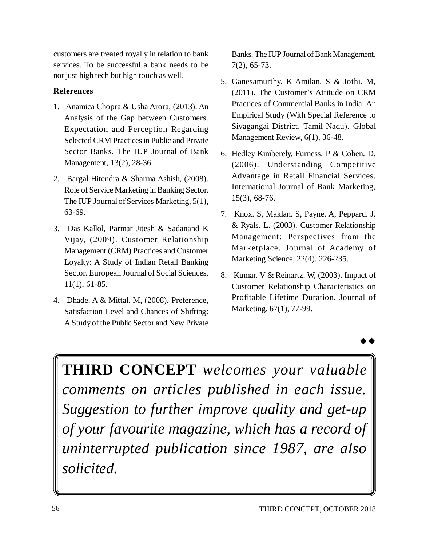customers are treated royally in relation to bank services. To be successful a bank needs to be not just high tech but high touch as well.

### **References**

- 1. Anamica Chopra & Usha Arora, (2013). An Analysis of the Gap between Customers. Expectation and Perception Regarding Selected CRM Practices in Public and Private Sector Banks. The IUP Journal of Bank Management, 13(2), 28-36.
- 2. Bargal Hitendra & Sharma Ashish, (2008). Role of Service Marketing in Banking Sector. The IUP Journal of Services Marketing, 5(1), 63-69.
- 3. Das Kallol, Parmar Jitesh & Sadanand K Vijay, (2009). Customer Relationship Management (CRM) Practices and Customer Loyalty: A Study of Indian Retail Banking Sector. European Journal of Social Sciences, 11(1), 61-85.
- 4. Dhade. A & Mittal. M, (2008). Preference, Satisfaction Level and Chances of Shifting: A Study of the Public Sector and New Private

Banks. The IUP Journal of Bank Management, 7(2), 65-73.

- 5. Ganesamurthy. K Amilan. S & Jothi. M, (2011). The Customer's Attitude on CRM Practices of Commercial Banks in India: An Empirical Study (With Special Reference to Sivagangai District, Tamil Nadu). Global Management Review, 6(1), 36-48.
- 6. Hedley Kimberely, Furness. P & Cohen. D, (2006). Understanding Competitive Advantage in Retail Financial Services. International Journal of Bank Marketing, 15(3), 68-76.
- 7. Knox. S, Maklan. S, Payne. A, Peppard. J. & Ryals. L. (2003). Customer Relationship Management: Perspectives from the Marketplace. Journal of Academy of Marketing Science, 22(4), 226-235.
- 8. Kumar. V & Reinartz. W, (2003). Impact of Customer Relationship Characteristics on Profitable Lifetime Duration. Journal of Marketing, 67(1), 77-99.



**THIRD CONCEPT** *welcomes your valuable comments on articles published in each issue. Suggestion to further improve quality and get-up of your favourite magazine, which has a record of uninterrupted publication since 1987, are also solicited.*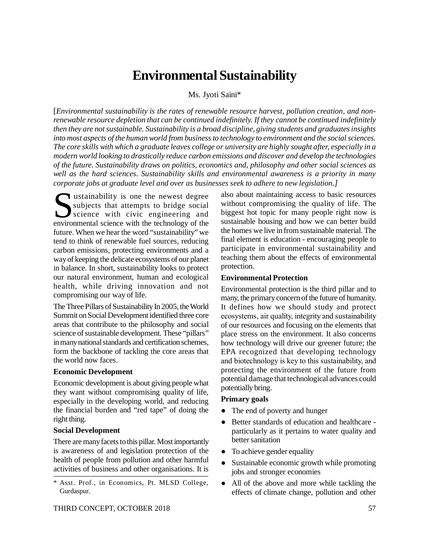# **Environmental Sustainability**

Ms. Jyoti Saini\*

[*Environmental sustainability is the rates of renewable resource harvest, pollution creation, and nonrenewable resource depletion that can be continued indefinitely. If they cannot be continued indefinitely then they are not sustainable. Sustainability is a broad discipline, giving students and graduates insights into most aspects of the human world from business to technology to environment and the social sciences. The core skills with which a graduate leaves college or university are highly sought after, especially in a modern world looking to drastically reduce carbon emissions and discover and develop the technologies of the future. Sustainability draws on politics, economics and, philosophy and other social sciences as well as the hard sciences. Sustainability skills and environmental awareness is a priority in many corporate jobs at graduate level and over as businesses seek to adhere to new legislation.]*

S<sub>enviro</sub> ustainability is one the newest degree subjects that attempts to bridge social science with civic engineering and environmental science with the technology of the future. When we hear the word "sustainability" we tend to think of renewable fuel sources, reducing carbon emissions, protecting environments and a way of keeping the delicate ecosystems of our planet in balance. In short, sustainability looks to protect our natural environment, human and ecological health, while driving innovation and not compromising our way of life.

The Three Pillars of Sustainability In 2005, the World Summit on Social Development identified three core areas that contribute to the philosophy and social science of sustainable development. These "pillars" in many national standards and certification schemes, form the backbone of tackling the core areas that the world now faces.

#### **Economic Development**

Economic development is about giving people what they want without compromising quality of life, especially in the developing world, and reducing the financial burden and "red tape" of doing the right thing.

#### **Social Development**

There are many facets to this pillar. Most importantly is awareness of and legislation protection of the health of people from pollution and other harmful activities of business and other organisations. It is also about maintaining access to basic resources without compromising the quality of life. The biggest hot topic for many people right now is sustainable housing and how we can better build the homes we live in from sustainable material. The final element is education - encouraging people to participate in environmental sustainability and teaching them about the effects of environmental protection.

#### **Environmental Protection**

Environmental protection is the third pillar and to many, the primary concern of the future of humanity. It defines how we should study and protect ecosystems, air quality, integrity and sustainability of our resources and focusing on the elements that place stress on the environment. It also concerns how technology will drive our greener future; the EPA recognized that developing technology and biotechnology is key to this sustainability, and protecting the environment of the future from potential damage that technological advances could potentially bring.

#### **Primary goals**

- The end of poverty and hunger
- Better standards of education and healthcare particularly as it pertains to water quality and better sanitation
- To achieve gender equality
- Sustainable economic growth while promoting jobs and stronger economies
- All of the above and more while tackling the effects of climate change, pollution and other

<sup>\*</sup> Asst. Prof., in Economics, Pt. MLSD College, Gurdaspur.